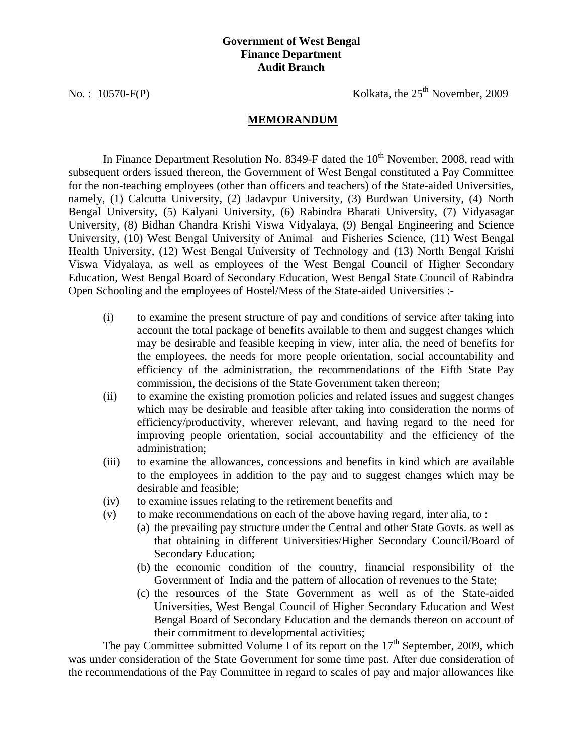#### **Government of West Bengal Finance Department Audit Branch**

No. :  $10570-F(P)$  Kolkata, the  $25<sup>th</sup>$  November, 2009

#### **MEMORANDUM**

In Finance Department Resolution No. 8349-F dated the  $10<sup>th</sup>$  November, 2008, read with subsequent orders issued thereon, the Government of West Bengal constituted a Pay Committee for the non-teaching employees (other than officers and teachers) of the State-aided Universities, namely, (1) Calcutta University, (2) Jadavpur University, (3) Burdwan University, (4) North Bengal University, (5) Kalyani University, (6) Rabindra Bharati University, (7) Vidyasagar University, (8) Bidhan Chandra Krishi Viswa Vidyalaya, (9) Bengal Engineering and Science University, (10) West Bengal University of Animal and Fisheries Science, (11) West Bengal Health University, (12) West Bengal University of Technology and (13) North Bengal Krishi Viswa Vidyalaya, as well as employees of the West Bengal Council of Higher Secondary Education, West Bengal Board of Secondary Education, West Bengal State Council of Rabindra Open Schooling and the employees of Hostel/Mess of the State-aided Universities :-

- (i) to examine the present structure of pay and conditions of service after taking into account the total package of benefits available to them and suggest changes which may be desirable and feasible keeping in view, inter alia, the need of benefits for the employees, the needs for more people orientation, social accountability and efficiency of the administration, the recommendations of the Fifth State Pay commission, the decisions of the State Government taken thereon;
- (ii) to examine the existing promotion policies and related issues and suggest changes which may be desirable and feasible after taking into consideration the norms of efficiency/productivity, wherever relevant, and having regard to the need for improving people orientation, social accountability and the efficiency of the administration;
- (iii) to examine the allowances, concessions and benefits in kind which are available to the employees in addition to the pay and to suggest changes which may be desirable and feasible;
- (iv) to examine issues relating to the retirement benefits and
- (v) to make recommendations on each of the above having regard, inter alia, to :
	- (a) the prevailing pay structure under the Central and other State Govts. as well as that obtaining in different Universities/Higher Secondary Council/Board of Secondary Education;
		- (b) the economic condition of the country, financial responsibility of the Government of India and the pattern of allocation of revenues to the State;
	- (c) the resources of the State Government as well as of the State-aided Universities, West Bengal Council of Higher Secondary Education and West Bengal Board of Secondary Education and the demands thereon on account of their commitment to developmental activities;

The pay Committee submitted Volume I of its report on the  $17<sup>th</sup>$  September, 2009, which was under consideration of the State Government for some time past. After due consideration of the recommendations of the Pay Committee in regard to scales of pay and major allowances like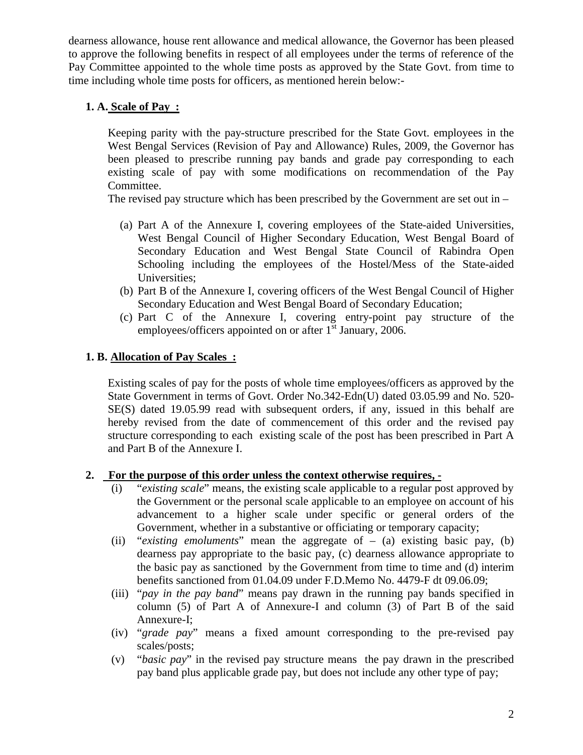dearness allowance, house rent allowance and medical allowance, the Governor has been pleased to approve the following benefits in respect of all employees under the terms of reference of the Pay Committee appointed to the whole time posts as approved by the State Govt. from time to time including whole time posts for officers, as mentioned herein below:-

## **1. A. Scale of Pay :**

Keeping parity with the pay-structure prescribed for the State Govt. employees in the West Bengal Services (Revision of Pay and Allowance) Rules, 2009, the Governor has been pleased to prescribe running pay bands and grade pay corresponding to each existing scale of pay with some modifications on recommendation of the Pay Committee.

The revised pay structure which has been prescribed by the Government are set out in –

- (a) Part A of the Annexure I, covering employees of the State-aided Universities, West Bengal Council of Higher Secondary Education, West Bengal Board of Secondary Education and West Bengal State Council of Rabindra Open Schooling including the employees of the Hostel/Mess of the State-aided Universities;
- (b) Part B of the Annexure I, covering officers of the West Bengal Council of Higher Secondary Education and West Bengal Board of Secondary Education;
- (c) Part C of the Annexure I, covering entry-point pay structure of the employees/officers appointed on or after  $1<sup>st</sup>$  January, 2006.

## **1. B. Allocation of Pay Scales :**

Existing scales of pay for the posts of whole time employees/officers as approved by the State Government in terms of Govt. Order No.342-Edn(U) dated 03.05.99 and No. 520- SE(S) dated 19.05.99 read with subsequent orders, if any, issued in this behalf are hereby revised from the date of commencement of this order and the revised pay structure corresponding to each existing scale of the post has been prescribed in Part A and Part B of the Annexure I.

# **2. For the purpose of this order unless the context otherwise requires, -**

- (i) "*existing scale*" means, the existing scale applicable to a regular post approved by the Government or the personal scale applicable to an employee on account of his advancement to a higher scale under specific or general orders of the Government, whether in a substantive or officiating or temporary capacity;
- (ii) "*existing emoluments*" mean the aggregate of (a) existing basic pay, (b) dearness pay appropriate to the basic pay, (c) dearness allowance appropriate to the basic pay as sanctioned by the Government from time to time and (d) interim benefits sanctioned from 01.04.09 under F.D.Memo No. 4479-F dt 09.06.09;
- (iii) "*pay in the pay band*" means pay drawn in the running pay bands specified in column (5) of Part A of Annexure-I and column (3) of Part B of the said Annexure-I;
- (iv) "*grade pay*" means a fixed amount corresponding to the pre-revised pay scales/posts;
- (v) "*basic pay*" in the revised pay structure means the pay drawn in the prescribed pay band plus applicable grade pay, but does not include any other type of pay;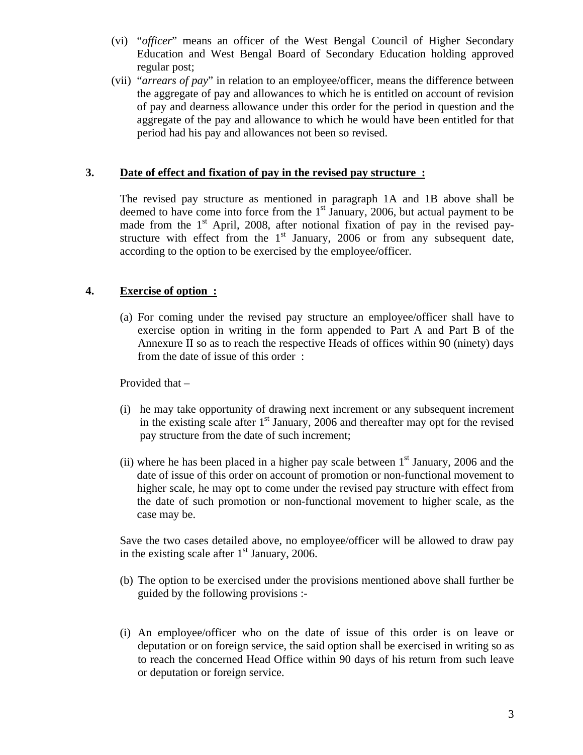- (vi) "*officer*" means an officer of the West Bengal Council of Higher Secondary Education and West Bengal Board of Secondary Education holding approved regular post;
- (vii) "*arrears of pay*" in relation to an employee/officer, means the difference between the aggregate of pay and allowances to which he is entitled on account of revision of pay and dearness allowance under this order for the period in question and the aggregate of the pay and allowance to which he would have been entitled for that period had his pay and allowances not been so revised.

## **3. Date of effect and fixation of pay in the revised pay structure :**

The revised pay structure as mentioned in paragraph 1A and 1B above shall be deemed to have come into force from the  $1<sup>st</sup>$  January, 2006, but actual payment to be made from the 1<sup>st</sup> April, 2008, after notional fixation of pay in the revised paystructure with effect from the 1<sup>st</sup> January, 2006 or from any subsequent date, according to the option to be exercised by the employee/officer.

## **4. Exercise of option :**

(a) For coming under the revised pay structure an employee/officer shall have to exercise option in writing in the form appended to Part A and Part B of the Annexure II so as to reach the respective Heads of offices within 90 (ninety) days from the date of issue of this order :

Provided that –

- (i) he may take opportunity of drawing next increment or any subsequent increment in the existing scale after  $1<sup>st</sup>$  January, 2006 and thereafter may opt for the revised pay structure from the date of such increment;
- (ii) where he has been placed in a higher pay scale between  $1<sup>st</sup>$  January, 2006 and the date of issue of this order on account of promotion or non-functional movement to higher scale, he may opt to come under the revised pay structure with effect from the date of such promotion or non-functional movement to higher scale, as the case may be.

Save the two cases detailed above, no employee/officer will be allowed to draw pay in the existing scale after  $1<sup>st</sup>$  January, 2006.

- (b) The option to be exercised under the provisions mentioned above shall further be guided by the following provisions :-
- (i) An employee/officer who on the date of issue of this order is on leave or deputation or on foreign service, the said option shall be exercised in writing so as to reach the concerned Head Office within 90 days of his return from such leave or deputation or foreign service.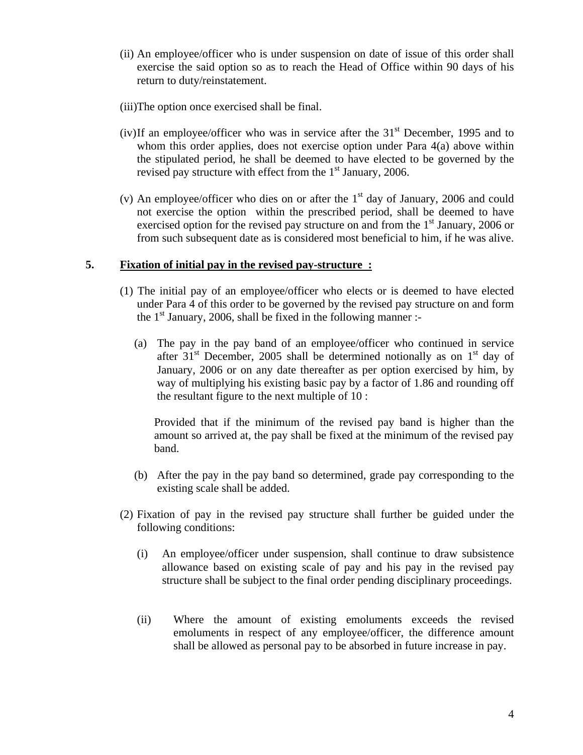(ii) An employee/officer who is under suspension on date of issue of this order shall exercise the said option so as to reach the Head of Office within 90 days of his return to duty/reinstatement.

(iii)The option once exercised shall be final.

- (iv)If an employee/officer who was in service after the  $31<sup>st</sup>$  December, 1995 and to whom this order applies, does not exercise option under Para 4(a) above within the stipulated period, he shall be deemed to have elected to be governed by the revised pay structure with effect from the  $1<sup>st</sup>$  January, 2006.
- (v) An employee/officer who dies on or after the  $1<sup>st</sup>$  day of January, 2006 and could not exercise the option within the prescribed period, shall be deemed to have exercised option for the revised pay structure on and from the  $1<sup>st</sup>$  January, 2006 or from such subsequent date as is considered most beneficial to him, if he was alive.

### **5. Fixation of initial pay in the revised pay-structure :**

- (1) The initial pay of an employee/officer who elects or is deemed to have elected under Para 4 of this order to be governed by the revised pay structure on and form the  $1<sup>st</sup>$  January, 2006, shall be fixed in the following manner :-
	- (a) The pay in the pay band of an employee/officer who continued in service after  $31<sup>st</sup>$  December, 2005 shall be determined notionally as on  $1<sup>st</sup>$  day of January, 2006 or on any date thereafter as per option exercised by him, by way of multiplying his existing basic pay by a factor of 1.86 and rounding off the resultant figure to the next multiple of 10 :

Provided that if the minimum of the revised pay band is higher than the amount so arrived at, the pay shall be fixed at the minimum of the revised pay band.

- (b) After the pay in the pay band so determined, grade pay corresponding to the existing scale shall be added.
- (2) Fixation of pay in the revised pay structure shall further be guided under the following conditions:
	- (i) An employee/officer under suspension, shall continue to draw subsistence allowance based on existing scale of pay and his pay in the revised pay structure shall be subject to the final order pending disciplinary proceedings.
	- (ii) Where the amount of existing emoluments exceeds the revised emoluments in respect of any employee/officer, the difference amount shall be allowed as personal pay to be absorbed in future increase in pay.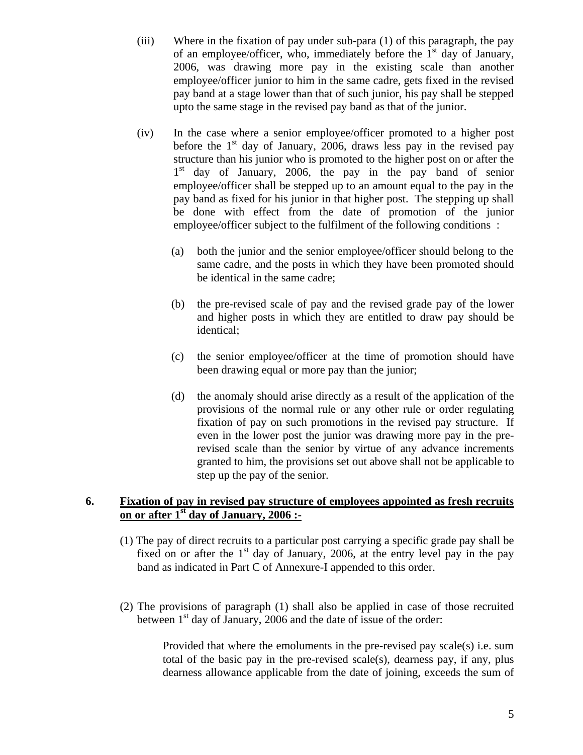- (iii) Where in the fixation of pay under sub-para (1) of this paragraph, the pay of an employee/officer, who, immediately before the  $1<sup>st</sup>$  day of January, 2006, was drawing more pay in the existing scale than another employee/officer junior to him in the same cadre, gets fixed in the revised pay band at a stage lower than that of such junior, his pay shall be stepped upto the same stage in the revised pay band as that of the junior.
- (iv) In the case where a senior employee/officer promoted to a higher post before the  $1<sup>st</sup>$  day of January, 2006, draws less pay in the revised pay structure than his junior who is promoted to the higher post on or after the 1<sup>st</sup> day of January, 2006, the pay in the pay band of senior employee/officer shall be stepped up to an amount equal to the pay in the pay band as fixed for his junior in that higher post. The stepping up shall be done with effect from the date of promotion of the junior employee/officer subject to the fulfilment of the following conditions :
	- (a) both the junior and the senior employee/officer should belong to the same cadre, and the posts in which they have been promoted should be identical in the same cadre;
	- (b) the pre-revised scale of pay and the revised grade pay of the lower and higher posts in which they are entitled to draw pay should be identical;
	- (c) the senior employee/officer at the time of promotion should have been drawing equal or more pay than the junior;
	- (d) the anomaly should arise directly as a result of the application of the provisions of the normal rule or any other rule or order regulating fixation of pay on such promotions in the revised pay structure. If even in the lower post the junior was drawing more pay in the prerevised scale than the senior by virtue of any advance increments granted to him, the provisions set out above shall not be applicable to step up the pay of the senior.

## **6. Fixation of pay in revised pay structure of employees appointed as fresh recruits on or after 1st day of January, 2006 :-**

- (1) The pay of direct recruits to a particular post carrying a specific grade pay shall be fixed on or after the  $1<sup>st</sup>$  day of January, 2006, at the entry level pay in the pay band as indicated in Part C of Annexure-I appended to this order.
- (2) The provisions of paragraph (1) shall also be applied in case of those recruited between  $1<sup>st</sup>$  day of January, 2006 and the date of issue of the order:

Provided that where the emoluments in the pre-revised pay scale(s) i.e. sum total of the basic pay in the pre-revised scale(s), dearness pay, if any, plus dearness allowance applicable from the date of joining, exceeds the sum of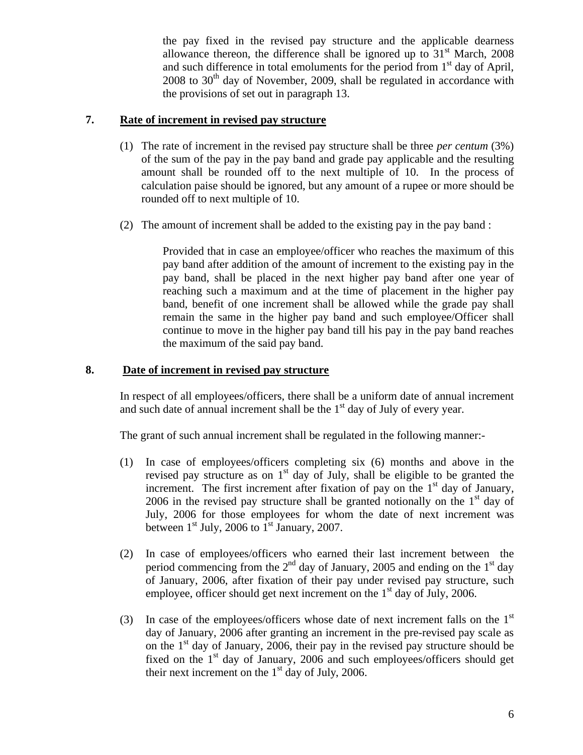the pay fixed in the revised pay structure and the applicable dearness allowance thereon, the difference shall be ignored up to  $31<sup>st</sup>$  March, 2008 and such difference in total emoluments for the period from  $1<sup>st</sup>$  day of April,  $2008$  to  $30<sup>th</sup>$  day of November, 2009, shall be regulated in accordance with the provisions of set out in paragraph 13.

## **7. Rate of increment in revised pay structure**

- (1) The rate of increment in the revised pay structure shall be three *per centum* (3%) of the sum of the pay in the pay band and grade pay applicable and the resulting amount shall be rounded off to the next multiple of 10. In the process of calculation paise should be ignored, but any amount of a rupee or more should be rounded off to next multiple of 10.
- (2) The amount of increment shall be added to the existing pay in the pay band :

Provided that in case an employee/officer who reaches the maximum of this pay band after addition of the amount of increment to the existing pay in the pay band, shall be placed in the next higher pay band after one year of reaching such a maximum and at the time of placement in the higher pay band, benefit of one increment shall be allowed while the grade pay shall remain the same in the higher pay band and such employee/Officer shall continue to move in the higher pay band till his pay in the pay band reaches the maximum of the said pay band.

### **8. Date of increment in revised pay structure**

In respect of all employees/officers, there shall be a uniform date of annual increment and such date of annual increment shall be the  $1<sup>st</sup>$  day of July of every year.

The grant of such annual increment shall be regulated in the following manner:-

- (1) In case of employees/officers completing six (6) months and above in the revised pay structure as on  $1<sup>st</sup>$  day of July, shall be eligible to be granted the increment. The first increment after fixation of pay on the  $1<sup>st</sup>$  day of January, 2006 in the revised pay structure shall be granted notionally on the  $1<sup>st</sup>$  day of July, 2006 for those employees for whom the date of next increment was between  $1<sup>st</sup>$  July, 2006 to  $1<sup>st</sup>$  January, 2007.
- (2) In case of employees/officers who earned their last increment between the period commencing from the  $2<sup>nd</sup>$  day of January, 2005 and ending on the 1<sup>st</sup> day of January, 2006, after fixation of their pay under revised pay structure, such employee, officer should get next increment on the  $1<sup>st</sup>$  day of July, 2006.
- (3) In case of the employees/officers whose date of next increment falls on the  $1<sup>st</sup>$ day of January, 2006 after granting an increment in the pre-revised pay scale as on the 1 st day of January, 2006, their pay in the revised pay structure should be fixed on the 1<sup>st</sup> day of January, 2006 and such employees/officers should get their next increment on the  $1<sup>st</sup>$  day of July, 2006.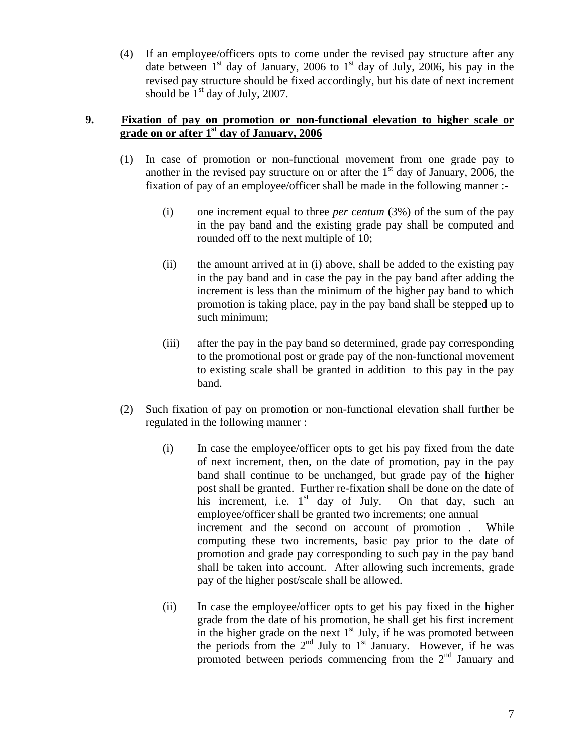(4) If an employee/officers opts to come under the revised pay structure after any date between  $1<sup>st</sup>$  day of January, 2006 to  $1<sup>st</sup>$  day of July, 2006, his pay in the revised pay structure should be fixed accordingly, but his date of next increment should be  $1<sup>st</sup>$  day of July, 2007.

### **9. Fixation of pay on promotion or non-functional elevation to higher scale or grade on or after 1st day of January, 2006**

- (1) In case of promotion or non-functional movement from one grade pay to another in the revised pay structure on or after the  $1<sup>st</sup>$  day of January, 2006, the fixation of pay of an employee/officer shall be made in the following manner :-
	- (i) one increment equal to three *per centum* (3%) of the sum of the pay in the pay band and the existing grade pay shall be computed and rounded off to the next multiple of 10;
	- (ii) the amount arrived at in (i) above, shall be added to the existing pay in the pay band and in case the pay in the pay band after adding the increment is less than the minimum of the higher pay band to which promotion is taking place, pay in the pay band shall be stepped up to such minimum;
	- (iii) after the pay in the pay band so determined, grade pay corresponding to the promotional post or grade pay of the non-functional movement to existing scale shall be granted in addition to this pay in the pay band.
- (2) Such fixation of pay on promotion or non-functional elevation shall further be regulated in the following manner :
	- (i) In case the employee/officer opts to get his pay fixed from the date of next increment, then, on the date of promotion, pay in the pay band shall continue to be unchanged, but grade pay of the higher post shall be granted. Further re-fixation shall be done on the date of his increment, i.e.  $1<sup>st</sup>$  day of July. On that day, such an employee/officer shall be granted two increments; one annual increment and the second on account of promotion . While computing these two increments, basic pay prior to the date of promotion and grade pay corresponding to such pay in the pay band shall be taken into account. After allowing such increments, grade pay of the higher post/scale shall be allowed.
	- (ii) In case the employee/officer opts to get his pay fixed in the higher grade from the date of his promotion, he shall get his first increment in the higher grade on the next  $1<sup>st</sup>$  July, if he was promoted between the periods from the  $2<sup>nd</sup>$  July to 1<sup>st</sup> January. However, if he was promoted between periods commencing from the  $2<sup>nd</sup>$  January and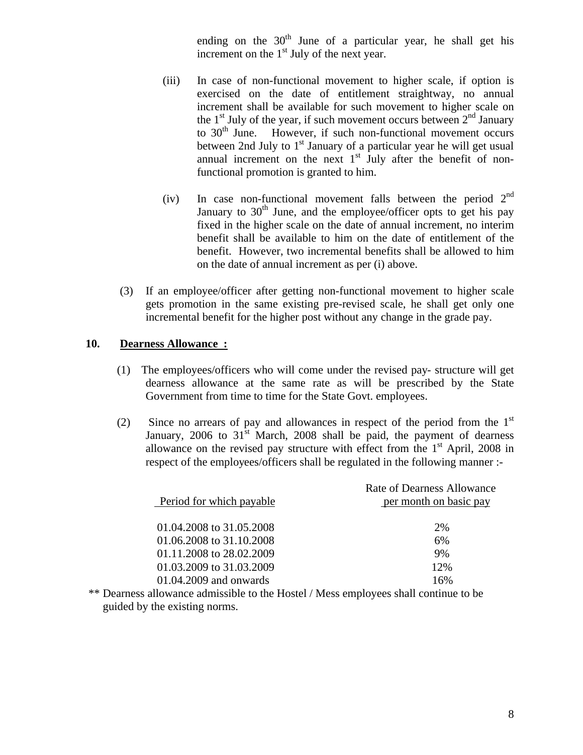ending on the  $30<sup>th</sup>$  June of a particular year, he shall get his increment on the  $1<sup>st</sup>$  July of the next year.

- (iii) In case of non-functional movement to higher scale, if option is exercised on the date of entitlement straightway, no annual increment shall be available for such movement to higher scale on the  $1<sup>st</sup>$  July of the year, if such movement occurs between  $2<sup>nd</sup>$  January to  $30<sup>th</sup>$  June. However, if such non-functional movement occurs between 2nd July to  $1<sup>st</sup>$  January of a particular year he will get usual annual increment on the next  $1<sup>st</sup>$  July after the benefit of nonfunctional promotion is granted to him.
- (iv) In case non-functional movement falls between the period  $2<sup>nd</sup>$ January to  $30<sup>th</sup>$  June, and the employee/officer opts to get his pay fixed in the higher scale on the date of annual increment, no interim benefit shall be available to him on the date of entitlement of the benefit. However, two incremental benefits shall be allowed to him on the date of annual increment as per (i) above.
- (3) If an employee/officer after getting non-functional movement to higher scale gets promotion in the same existing pre-revised scale, he shall get only one incremental benefit for the higher post without any change in the grade pay.

### **10. Dearness Allowance :**

- (1) The employees/officers who will come under the revised pay- structure will get dearness allowance at the same rate as will be prescribed by the State Government from time to time for the State Govt. employees.
- (2) Since no arrears of pay and allowances in respect of the period from the  $1<sup>st</sup>$ January, 2006 to  $31<sup>st</sup>$  March, 2008 shall be paid, the payment of dearness allowance on the revised pay structure with effect from the  $1<sup>st</sup>$  April, 2008 in respect of the employees/officers shall be regulated in the following manner :-

| Period for which payable                             | Rate of Dearness Allowance<br>per month on basic pay |
|------------------------------------------------------|------------------------------------------------------|
| 01.04.2008 to 31.05.2008                             | 2%                                                   |
| 01.06.2008 to 31.10.2008                             | 6%                                                   |
| 01.11.2008 to 28.02.2009<br>01.03.2009 to 31.03.2009 | 9%<br>12%                                            |
| $01.04.2009$ and onwards                             | 16%                                                  |

 \*\* Dearness allowance admissible to the Hostel / Mess employees shall continue to be guided by the existing norms.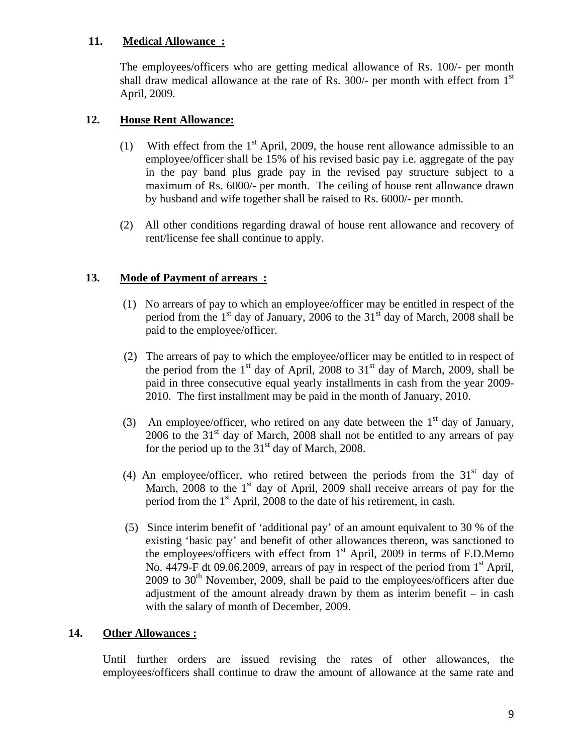## **11. Medical Allowance :**

The employees/officers who are getting medical allowance of Rs. 100/- per month shall draw medical allowance at the rate of Rs. 300/- per month with effect from 1<sup>st</sup> April, 2009.

## **12. House Rent Allowance:**

- (1) With effect from the  $1<sup>st</sup>$  April, 2009, the house rent allowance admissible to an employee/officer shall be 15% of his revised basic pay i.e. aggregate of the pay in the pay band plus grade pay in the revised pay structure subject to a maximum of Rs. 6000/- per month. The ceiling of house rent allowance drawn by husband and wife together shall be raised to Rs. 6000/- per month.
	- (2) All other conditions regarding drawal of house rent allowance and recovery of rent/license fee shall continue to apply.

## **13. Mode of Payment of arrears :**

- (1) No arrears of pay to which an employee/officer may be entitled in respect of the period from the  $1<sup>st</sup>$  day of January, 2006 to the 31<sup>st</sup> day of March, 2008 shall be paid to the employee/officer.
- (2) The arrears of pay to which the employee/officer may be entitled to in respect of the period from the  $1<sup>st</sup>$  day of April, 2008 to  $31<sup>st</sup>$  day of March, 2009, shall be paid in three consecutive equal yearly installments in cash from the year 2009- 2010. The first installment may be paid in the month of January, 2010.
- (3) An employee/officer, who retired on any date between the  $1<sup>st</sup>$  day of January, 2006 to the  $31<sup>st</sup>$  day of March, 2008 shall not be entitled to any arrears of pay for the period up to the  $31<sup>st</sup>$  day of March, 2008.
	- (4) An employee/officer, who retired between the periods from the  $31<sup>st</sup>$  day of March,  $2008$  to the 1<sup>st</sup> day of April, 2009 shall receive arrears of pay for the period from the  $1<sup>st</sup>$  April, 2008 to the date of his retirement, in cash.
	- (5) Since interim benefit of 'additional pay' of an amount equivalent to 30 % of the existing 'basic pay' and benefit of other allowances thereon, was sanctioned to the employees/officers with effect from 1<sup>st</sup> April, 2009 in terms of F.D.Memo No. 4479-F dt 09.06.2009, arrears of pay in respect of the period from  $1<sup>st</sup>$  April,  $2009$  to  $30<sup>th</sup>$  November, 2009, shall be paid to the employees/officers after due adjustment of the amount already drawn by them as interim benefit – in cash with the salary of month of December, 2009.

## **14. Other Allowances :**

Until further orders are issued revising the rates of other allowances, the employees/officers shall continue to draw the amount of allowance at the same rate and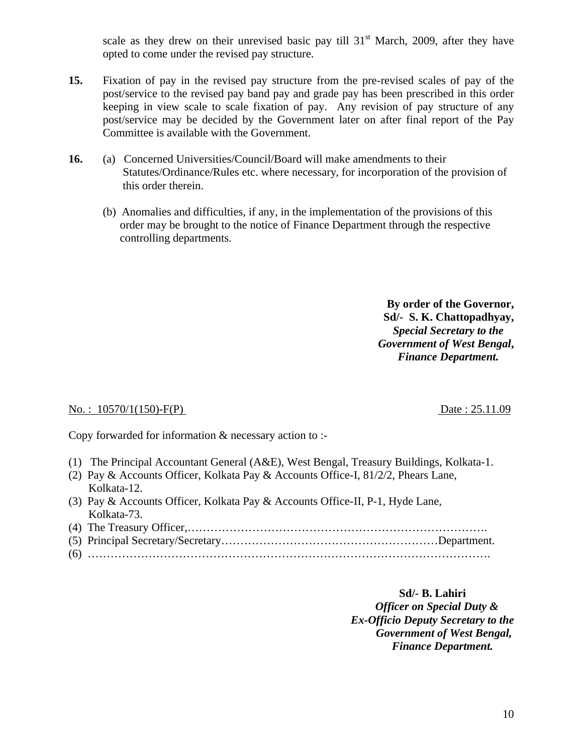scale as they drew on their unrevised basic pay till  $31<sup>st</sup>$  March, 2009, after they have opted to come under the revised pay structure.

- **15.** Fixation of pay in the revised pay structure from the pre-revised scales of pay of the post/service to the revised pay band pay and grade pay has been prescribed in this order keeping in view scale to scale fixation of pay. Any revision of pay structure of any post/service may be decided by the Government later on after final report of the Pay Committee is available with the Government.
- **16.** (a) Concerned Universities/Council/Board will make amendments to their Statutes/Ordinance/Rules etc. where necessary, for incorporation of the provision of this order therein.
	- (b) Anomalies and difficulties, if any, in the implementation of the provisions of this order may be brought to the notice of Finance Department through the respective controlling departments.

**By order of the Governor, Sd/- S. K. Chattopadhyay,**  *Special Secretary to the Government of West Bengal***,** *Finance Department.*

#### No.: 10570/1(150)-F(P) Date: 25.11.09

Copy forwarded for information & necessary action to :-

- (1) The Principal Accountant General (A&E), West Bengal, Treasury Buildings, Kolkata-1.
- (2) Pay & Accounts Officer, Kolkata Pay & Accounts Office-I, 81/2/2, Phears Lane, Kolkata-12.
- (3) Pay & Accounts Officer, Kolkata Pay & Accounts Office-II, P-1, Hyde Lane, Kolkata-73.

#### **Sd/- B. Lahiri**

 *Officer on Special Duty & Ex-Officio Deputy Secretary to the Government of West Bengal,* *Finance Department.*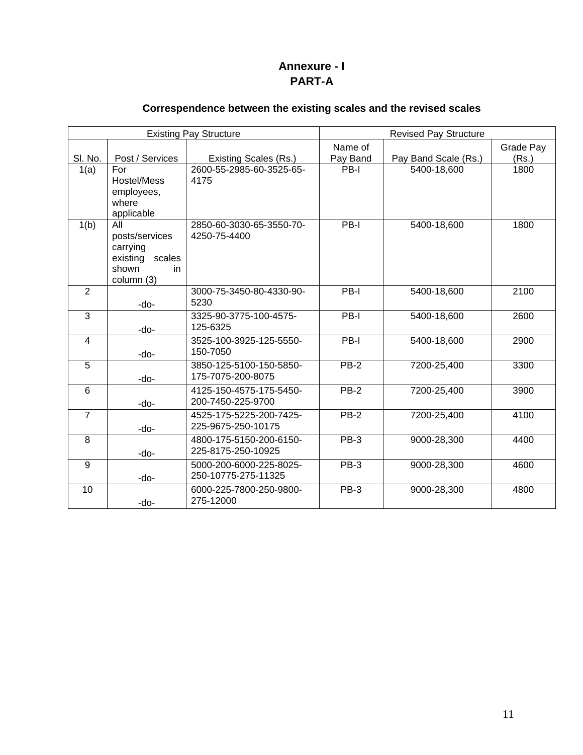# **Annexure - I PART-A**

# **Correspendence between the existing scales and the revised scales**

|                |                     | <b>Existing Pay Structure</b>                  | <b>Revised Pay Structure</b> |                      |           |
|----------------|---------------------|------------------------------------------------|------------------------------|----------------------|-----------|
|                |                     |                                                | Name of                      |                      | Grade Pay |
| SI. No.        | Post / Services     | Existing Scales (Rs.)                          | Pay Band                     | Pay Band Scale (Rs.) | (Rs.)     |
| 1(a)           | For                 | 2600-55-2985-60-3525-65-                       | PB-I                         | 5400-18,600          | 1800      |
|                | Hostel/Mess         | 4175                                           |                              |                      |           |
|                | employees,          |                                                |                              |                      |           |
|                | where<br>applicable |                                                |                              |                      |           |
| 1(b)           | All                 | 2850-60-3030-65-3550-70-                       | PB-I                         | 5400-18,600          | 1800      |
|                | posts/services      | 4250-75-4400                                   |                              |                      |           |
|                | carrying            |                                                |                              |                      |           |
|                | existing<br>scales  |                                                |                              |                      |           |
|                | shown<br>in         |                                                |                              |                      |           |
| $\overline{2}$ | column (3)          | 3000-75-3450-80-4330-90-                       | PB-I                         | 5400-18,600          | 2100      |
|                | -do-                | 5230                                           |                              |                      |           |
| $\overline{3}$ |                     | 3325-90-3775-100-4575-                         | $PB-I$                       | 5400-18,600          | 2600      |
|                | -do-                | 125-6325                                       |                              |                      |           |
| $\overline{4}$ |                     | 3525-100-3925-125-5550-                        | PB-I                         | 5400-18,600          | 2900      |
|                | -do-                | 150-7050                                       |                              |                      |           |
| 5              |                     | 3850-125-5100-150-5850-                        | $PB-2$                       | 7200-25,400          | 3300      |
|                | -do-                | 175-7075-200-8075                              |                              |                      |           |
| 6              |                     | 4125-150-4575-175-5450-                        | $PB-2$                       | 7200-25,400          | 3900      |
|                | -do-                | 200-7450-225-9700                              |                              |                      |           |
| $\overline{7}$ |                     | 4525-175-5225-200-7425-                        | $PB-2$                       | 7200-25,400          | 4100      |
|                | -do-                | 225-9675-250-10175                             |                              |                      |           |
| 8              |                     | 4800-175-5150-200-6150-<br>225-8175-250-10925  | $PB-3$                       | 9000-28,300          | 4400      |
|                | -do-                |                                                |                              |                      |           |
| $\overline{9}$ |                     | 5000-200-6000-225-8025-<br>250-10775-275-11325 | PB-3                         | 9000-28,300          | 4600      |
| 10             | -do-                |                                                | <b>PB-3</b>                  | 9000-28,300          |           |
|                | -do-                | 6000-225-7800-250-9800-<br>275-12000           |                              |                      | 4800      |
|                |                     |                                                |                              |                      |           |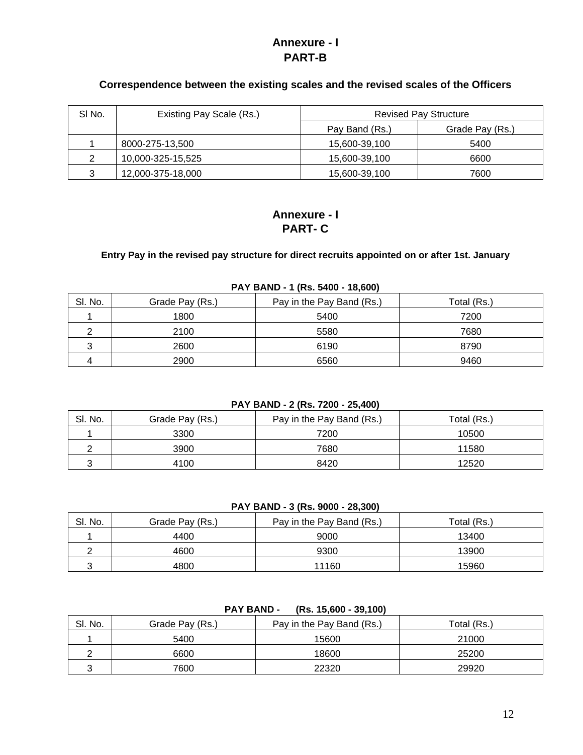# **Annexure - I PART-B**

### **Correspendence between the existing scales and the revised scales of the Officers**

| SI No. | Existing Pay Scale (Rs.) | <b>Revised Pay Structure</b> |                 |
|--------|--------------------------|------------------------------|-----------------|
|        |                          | Pay Band (Rs.)               | Grade Pay (Rs.) |
|        | 8000-275-13,500          | 15,600-39,100                | 5400            |
| 2      | 10,000-325-15,525        | 15,600-39,100                | 6600            |
| 3      | 12,000-375-18,000        | 15,600-39,100                | 7600            |

# **Annexure - I PART- C**

## **Entry Pay in the revised pay structure for direct recruits appointed on or after 1st. January**

| $1.71$ $2.112$ $1.103$ $700$ $10,000$ |                 |                           |             |  |  |
|---------------------------------------|-----------------|---------------------------|-------------|--|--|
| SI. No.                               | Grade Pay (Rs.) | Pay in the Pay Band (Rs.) | Total (Rs.) |  |  |
|                                       | 1800            | 5400                      | 7200        |  |  |
|                                       | 2100            | 5580                      | 7680        |  |  |
|                                       | 2600            | 6190                      | 8790        |  |  |
|                                       | 2900            | 6560                      | 9460        |  |  |

#### **PAY BAND - 1 (Rs. 5400 - 18,600)**

#### **PAY BAND - 2 (Rs. 7200 - 25,400)**

| SI. No. | Grade Pay (Rs.) | Pay in the Pay Band (Rs.) | Total (Rs.) |
|---------|-----------------|---------------------------|-------------|
|         | 3300            | 7200                      | 10500       |
|         | 3900            | 7680                      | 11580       |
|         | 4100            | 8420                      | 12520       |

**PAY BAND - 3 (Rs. 9000 - 28,300)**

| SI. No. | Grade Pay (Rs.) | Pay in the Pay Band (Rs.) | Total (Rs.) |
|---------|-----------------|---------------------------|-------------|
|         | 4400            | 9000                      | 13400       |
|         | 4600            | 9300                      | 13900       |
|         | 4800            | 11160                     | 15960       |

| .       |                 |                           |             |  |  |
|---------|-----------------|---------------------------|-------------|--|--|
| SI. No. | Grade Pay (Rs.) | Pay in the Pay Band (Rs.) | Total (Rs.) |  |  |
|         | 5400            | 15600                     | 21000       |  |  |
|         | 6600            | 18600                     | 25200       |  |  |
|         | 7600            | 22320                     | 29920       |  |  |

**PAY BAND - (Rs. 15,600 - 39,100)**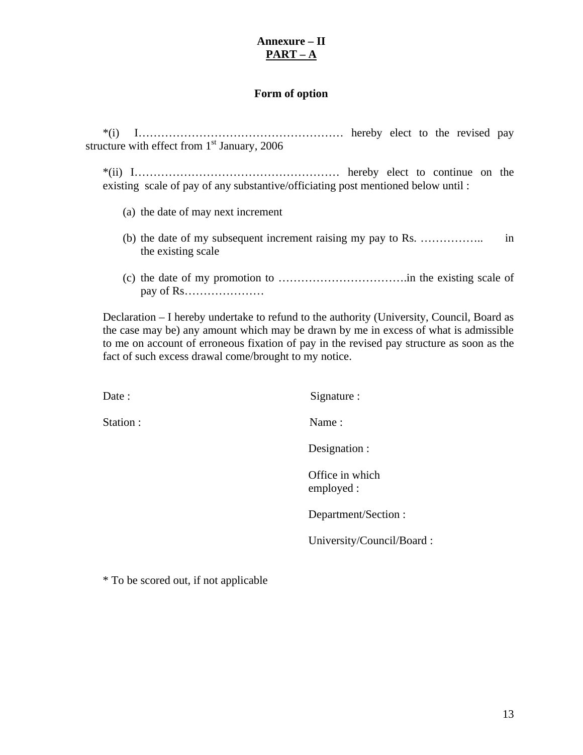## **Annexure – II PART – A**

### **Form of option**

\*(i) I……………………………………………… hereby elect to the revised pay structure with effect from 1<sup>st</sup> January, 2006

\*(ii) I……………………………………………… hereby elect to continue on the existing scale of pay of any substantive/officiating post mentioned below until :

- (a) the date of may next increment
- (b) the date of my subsequent increment raising my pay to Rs. …………….. in the existing scale
- (c) the date of my promotion to …………………………….in the existing scale of pay of Rs…………………

Declaration – I hereby undertake to refund to the authority (University, Council, Board as the case may be) any amount which may be drawn by me in excess of what is admissible to me on account of erroneous fixation of pay in the revised pay structure as soon as the fact of such excess drawal come/brought to my notice.

| Date :   | Signature :                   |
|----------|-------------------------------|
| Station: | Name:                         |
|          | Designation :                 |
|          | Office in which<br>employed : |

Department/Section :

University/Council/Board :

\* To be scored out, if not applicable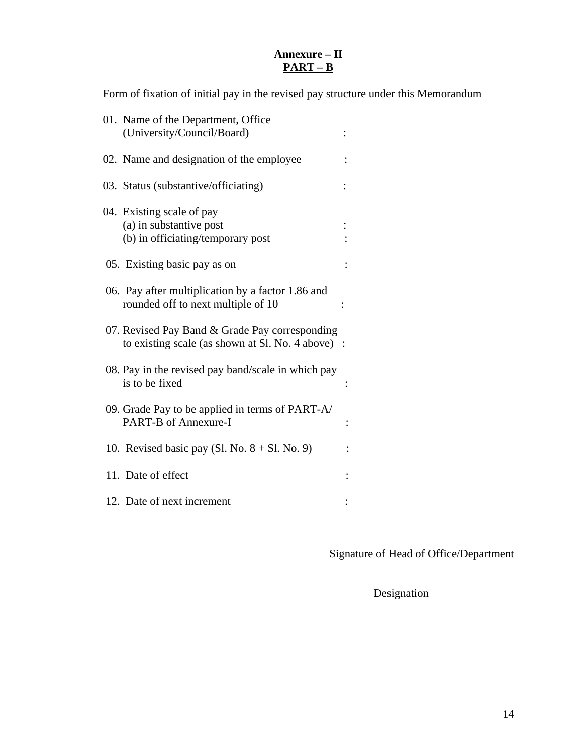# **Annexure – II PART – B**

Form of fixation of initial pay in the revised pay structure under this Memorandum

| 01. Name of the Department, Office<br>(University/Council/Board)                                    |  |
|-----------------------------------------------------------------------------------------------------|--|
| 02. Name and designation of the employee                                                            |  |
| 03. Status (substantive/officiating)                                                                |  |
| 04. Existing scale of pay<br>(a) in substantive post<br>(b) in officiating/temporary post           |  |
| 05. Existing basic pay as on                                                                        |  |
| 06. Pay after multiplication by a factor 1.86 and<br>rounded off to next multiple of 10             |  |
| 07. Revised Pay Band & Grade Pay corresponding<br>to existing scale (as shown at Sl. No. 4 above) : |  |
| 08. Pay in the revised pay band/scale in which pay<br>is to be fixed                                |  |
| 09. Grade Pay to be applied in terms of PART-A/<br><b>PART-B of Annexure-I</b>                      |  |
| 10. Revised basic pay (Sl. No. $8 + \text{Sl}$ . No. 9)                                             |  |
| 11. Date of effect                                                                                  |  |
| 12. Date of next increment                                                                          |  |

Signature of Head of Office/Department

Designation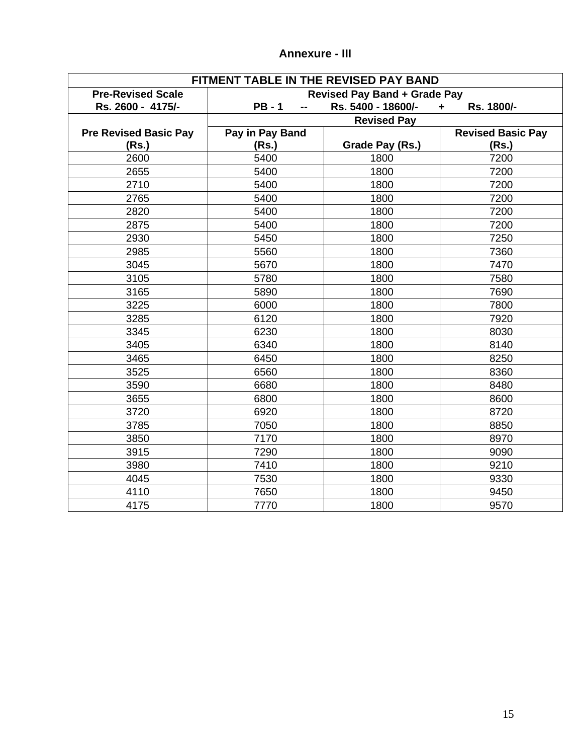| FITMENT TABLE IN THE REVISED PAY BAND |                                     |                    |                          |  |
|---------------------------------------|-------------------------------------|--------------------|--------------------------|--|
| <b>Pre-Revised Scale</b>              | <b>Revised Pay Band + Grade Pay</b> |                    |                          |  |
| Rs. 2600 - 4175/-                     | <b>PB-1</b><br>--                   | Rs. 5400 - 18600/- | Rs. 1800/-<br>÷.         |  |
|                                       |                                     | <b>Revised Pay</b> |                          |  |
| <b>Pre Revised Basic Pay</b>          | Pay in Pay Band                     |                    | <b>Revised Basic Pay</b> |  |
| (Rs.)                                 | (Rs.)                               | Grade Pay (Rs.)    | (Rs.)                    |  |
| 2600                                  | 5400                                | 1800               | 7200                     |  |
| 2655                                  | 5400                                | 1800               | 7200                     |  |
| 2710                                  | 5400                                | 1800               | 7200                     |  |
| 2765                                  | 5400                                | 1800               | 7200                     |  |
| 2820                                  | 5400                                | 1800               | 7200                     |  |
| 2875                                  | 5400                                | 1800               | 7200                     |  |
| 2930                                  | 5450                                | 1800               | 7250                     |  |
| 2985                                  | 5560                                | 1800               | 7360                     |  |
| 3045                                  | 5670                                | 1800               | 7470                     |  |
| 3105                                  | 5780                                | 1800               | 7580                     |  |
| 3165                                  | 5890                                | 1800               | 7690                     |  |
| 3225                                  | 6000                                | 1800               | 7800                     |  |
| 3285                                  | 6120                                | 1800               | 7920                     |  |
| 3345                                  | 6230                                | 1800               | 8030                     |  |
| 3405                                  | 6340                                | 1800               | 8140                     |  |
| 3465                                  | 6450                                | 1800               | 8250                     |  |
| 3525                                  | 6560                                | 1800               | 8360                     |  |
| 3590                                  | 6680                                | 1800               | 8480                     |  |
| 3655                                  | 6800                                | 1800               | 8600                     |  |
| 3720                                  | 6920                                | 1800               | 8720                     |  |
| 3785                                  | 7050                                | 1800               | 8850                     |  |
| 3850                                  | 7170                                | 1800               | 8970                     |  |
| 3915                                  | 7290                                | 1800               | 9090                     |  |
| 3980                                  | 7410                                | 1800               | 9210                     |  |
| 4045                                  | 7530                                | 1800               | 9330                     |  |
| 4110                                  | 7650                                | 1800               | 9450                     |  |
| 4175                                  | 7770                                | 1800               | 9570                     |  |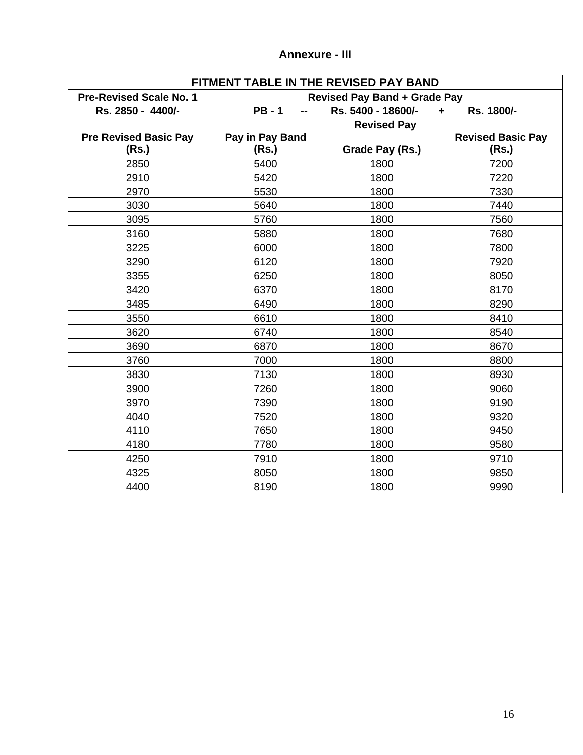| FITMENT TABLE IN THE REVISED PAY BAND |                                     |                    |                          |  |
|---------------------------------------|-------------------------------------|--------------------|--------------------------|--|
| <b>Pre-Revised Scale No. 1</b>        | <b>Revised Pay Band + Grade Pay</b> |                    |                          |  |
| Rs. 2850 - 4400/-                     | $PB - 1$                            | Rs. 5400 - 18600/- | Rs. 1800/-<br>÷          |  |
|                                       |                                     | <b>Revised Pay</b> |                          |  |
| <b>Pre Revised Basic Pay</b>          | Pay in Pay Band                     |                    | <b>Revised Basic Pay</b> |  |
| (Rs.)                                 | (Rs.)                               | Grade Pay (Rs.)    | (Rs.)                    |  |
| 2850                                  | 5400                                | 1800               | 7200                     |  |
| 2910                                  | 5420                                | 1800               | 7220                     |  |
| 2970                                  | 5530                                | 1800               | 7330                     |  |
| 3030                                  | 5640                                | 1800               | 7440                     |  |
| 3095                                  | 5760                                | 1800               | 7560                     |  |
| 3160                                  | 5880                                | 1800               | 7680                     |  |
| 3225                                  | 6000                                | 1800               | 7800                     |  |
| 3290                                  | 6120                                | 1800               | 7920                     |  |
| 3355                                  | 6250                                | 1800               | 8050                     |  |
| 3420                                  | 6370                                | 1800               | 8170                     |  |
| 3485                                  | 6490                                | 1800               | 8290                     |  |
| 3550                                  | 6610                                | 1800               | 8410                     |  |
| 3620                                  | 6740                                | 1800               | 8540                     |  |
| 3690                                  | 6870                                | 1800               | 8670                     |  |
| 3760                                  | 7000                                | 1800               | 8800                     |  |
| 3830                                  | 7130                                | 1800               | 8930                     |  |
| 3900                                  | 7260                                | 1800               | 9060                     |  |
| 3970                                  | 7390                                | 1800               | 9190                     |  |
| 4040                                  | 7520                                | 1800               | 9320                     |  |
| 4110                                  | 7650                                | 1800               | 9450                     |  |
| 4180                                  | 7780                                | 1800               | 9580                     |  |
| 4250                                  | 7910                                | 1800               | 9710                     |  |
| 4325                                  | 8050                                | 1800               | 9850                     |  |
| 4400                                  | 8190                                | 1800               | 9990                     |  |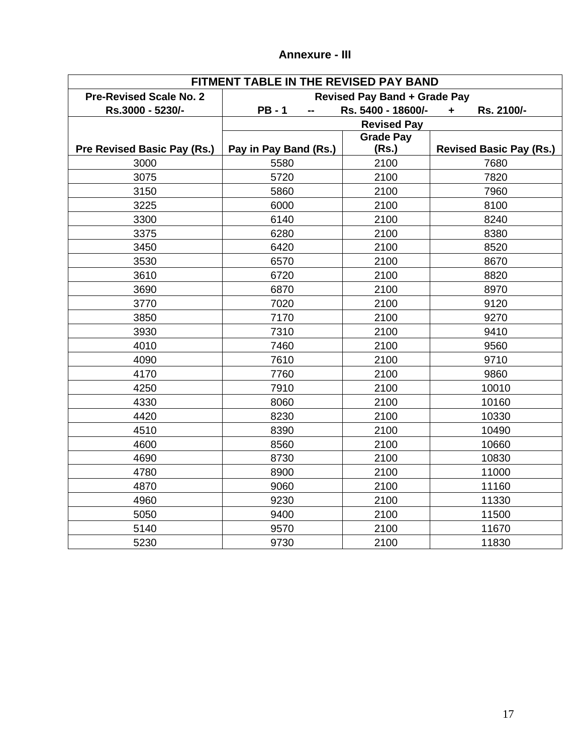| FITMENT TABLE IN THE REVISED PAY BAND |                                                      |                    |                                |
|---------------------------------------|------------------------------------------------------|--------------------|--------------------------------|
| <b>Pre-Revised Scale No. 2</b>        | <b>Revised Pay Band + Grade Pay</b>                  |                    |                                |
| Rs.3000 - 5230/-                      | Rs. 5400 - 18600/-<br><b>PB-1</b><br>Rs. 2100/-<br>٠ |                    |                                |
|                                       |                                                      | <b>Revised Pay</b> |                                |
|                                       |                                                      | <b>Grade Pay</b>   |                                |
| Pre Revised Basic Pay (Rs.)           | Pay in Pay Band (Rs.)                                | (Rs.)              | <b>Revised Basic Pay (Rs.)</b> |
| 3000                                  | 5580                                                 | 2100               | 7680                           |
| 3075                                  | 5720                                                 | 2100               | 7820                           |
| 3150                                  | 5860                                                 | 2100               | 7960                           |
| 3225                                  | 6000                                                 | 2100               | 8100                           |
| 3300                                  | 6140                                                 | 2100               | 8240                           |
| 3375                                  | 6280                                                 | 2100               | 8380                           |
| 3450                                  | 6420                                                 | 2100               | 8520                           |
| 3530                                  | 6570                                                 | 2100               | 8670                           |
| 3610                                  | 6720                                                 | 2100               | 8820                           |
| 3690                                  | 6870                                                 | 2100               | 8970                           |
| 3770                                  | 7020                                                 | 2100               | 9120                           |
| 3850                                  | 7170                                                 | 2100               | 9270                           |
| 3930                                  | 7310                                                 | 2100               | 9410                           |
| 4010                                  | 7460                                                 | 2100               | 9560                           |
| 4090                                  | 7610                                                 | 2100               | 9710                           |
| 4170                                  | 7760                                                 | 2100               | 9860                           |
| 4250                                  | 7910                                                 | 2100               | 10010                          |
| 4330                                  | 8060                                                 | 2100               | 10160                          |
| 4420                                  | 8230                                                 | 2100               | 10330                          |
| 4510                                  | 8390                                                 | 2100               | 10490                          |
| 4600                                  | 8560                                                 | 2100               | 10660                          |
| 4690                                  | 8730                                                 | 2100               | 10830                          |
| 4780                                  | 8900                                                 | 2100               | 11000                          |
| 4870                                  | 9060                                                 | 2100               | 11160                          |
| 4960                                  | 9230                                                 | 2100               | 11330                          |
| 5050                                  | 9400                                                 | 2100               | 11500                          |
| 5140                                  | 9570                                                 | 2100               | 11670                          |
| 5230                                  | 9730                                                 | 2100               | 11830                          |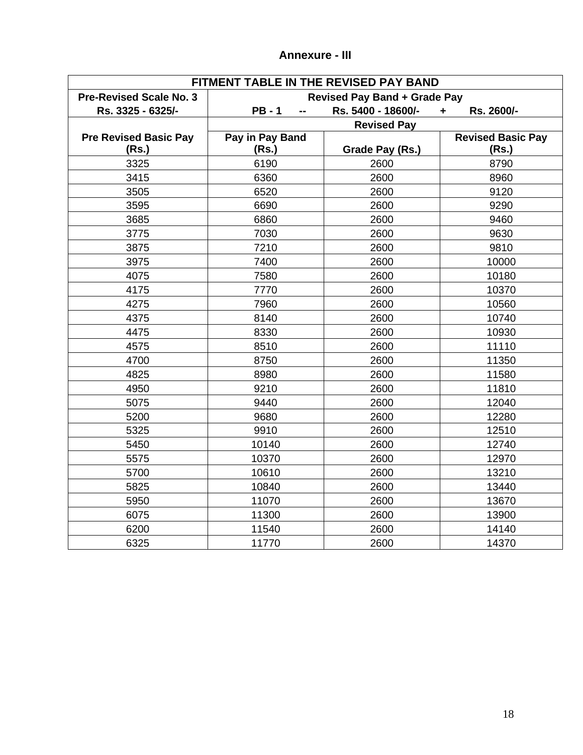| FITMENT TABLE IN THE REVISED PAY BAND |                                     |                    |                          |  |
|---------------------------------------|-------------------------------------|--------------------|--------------------------|--|
| <b>Pre-Revised Scale No. 3</b>        | <b>Revised Pay Band + Grade Pay</b> |                    |                          |  |
| Rs. 3325 - 6325/-                     | <b>PB-1</b>                         | Rs. 5400 - 18600/- | Rs. 2600/-<br>÷          |  |
|                                       |                                     | <b>Revised Pay</b> |                          |  |
| <b>Pre Revised Basic Pay</b>          | Pay in Pay Band                     |                    | <b>Revised Basic Pay</b> |  |
| (Rs.)                                 | (Rs.)                               | Grade Pay (Rs.)    | (Rs.)                    |  |
| 3325                                  | 6190                                | 2600               | 8790                     |  |
| 3415                                  | 6360                                | 2600               | 8960                     |  |
| 3505                                  | 6520                                | 2600               | 9120                     |  |
| 3595                                  | 6690                                | 2600               | 9290                     |  |
| 3685                                  | 6860                                | 2600               | 9460                     |  |
| 3775                                  | 7030                                | 2600               | 9630                     |  |
| 3875                                  | 7210                                | 2600               | 9810                     |  |
| 3975                                  | 7400                                | 2600               | 10000                    |  |
| 4075                                  | 7580                                | 2600               | 10180                    |  |
| 4175                                  | 7770                                | 2600               | 10370                    |  |
| 4275                                  | 7960                                | 2600               | 10560                    |  |
| 4375                                  | 8140                                | 2600               | 10740                    |  |
| 4475                                  | 8330                                | 2600               | 10930                    |  |
| 4575                                  | 8510                                | 2600               | 11110                    |  |
| 4700                                  | 8750                                | 2600               | 11350                    |  |
| 4825                                  | 8980                                | 2600               | 11580                    |  |
| 4950                                  | 9210                                | 2600               | 11810                    |  |
| 5075                                  | 9440                                | 2600               | 12040                    |  |
| 5200                                  | 9680                                | 2600               | 12280                    |  |
| 5325                                  | 9910                                | 2600               | 12510                    |  |
| 5450                                  | 10140                               | 2600               | 12740                    |  |
| 5575                                  | 10370                               | 2600               | 12970                    |  |
| 5700                                  | 10610                               | 2600               | 13210                    |  |
| 5825                                  | 10840                               | 2600               | 13440                    |  |
| 5950                                  | 11070                               | 2600               | 13670                    |  |
| 6075                                  | 11300                               | 2600               | 13900                    |  |
| 6200                                  | 11540                               | 2600               | 14140                    |  |
| 6325                                  | 11770                               | 2600               | 14370                    |  |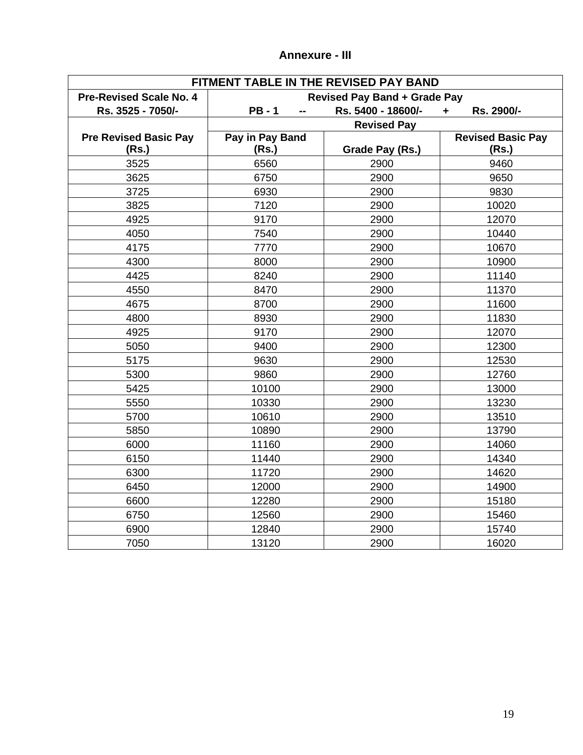| FITMENT TABLE IN THE REVISED PAY BAND |                                     |                    |                          |
|---------------------------------------|-------------------------------------|--------------------|--------------------------|
| <b>Pre-Revised Scale No. 4</b>        | <b>Revised Pay Band + Grade Pay</b> |                    |                          |
| Rs. 3525 - 7050/-                     | <b>PB-1</b>                         | Rs. 5400 - 18600/- | Rs. 2900/-<br>÷          |
|                                       |                                     | <b>Revised Pay</b> |                          |
| <b>Pre Revised Basic Pay</b>          | Pay in Pay Band                     |                    | <b>Revised Basic Pay</b> |
| (Rs.)                                 | (Rs.)                               | Grade Pay (Rs.)    | (Rs.)                    |
| 3525                                  | 6560                                | 2900               | 9460                     |
| 3625                                  | 6750                                | 2900               | 9650                     |
| 3725                                  | 6930                                | 2900               | 9830                     |
| 3825                                  | 7120                                | 2900               | 10020                    |
| 4925                                  | 9170                                | 2900               | 12070                    |
| 4050                                  | 7540                                | 2900               | 10440                    |
| 4175                                  | 7770                                | 2900               | 10670                    |
| 4300                                  | 8000                                | 2900               | 10900                    |
| 4425                                  | 8240                                | 2900               | 11140                    |
| 4550                                  | 8470                                | 2900               | 11370                    |
| 4675                                  | 8700                                | 2900               | 11600                    |
| 4800                                  | 8930                                | 2900               | 11830                    |
| 4925                                  | 9170                                | 2900               | 12070                    |
| 5050                                  | 9400                                | 2900               | 12300                    |
| 5175                                  | 9630                                | 2900               | 12530                    |
| 5300                                  | 9860                                | 2900               | 12760                    |
| 5425                                  | 10100                               | 2900               | 13000                    |
| 5550                                  | 10330                               | 2900               | 13230                    |
| 5700                                  | 10610                               | 2900               | 13510                    |
| 5850                                  | 10890                               | 2900               | 13790                    |
| 6000                                  | 11160                               | 2900               | 14060                    |
| 6150                                  | 11440                               | 2900               | 14340                    |
| 6300                                  | 11720                               | 2900               | 14620                    |
| 6450                                  | 12000                               | 2900               | 14900                    |
| 6600                                  | 12280                               | 2900               | 15180                    |
| 6750                                  | 12560                               | 2900               | 15460                    |
| 6900                                  | 12840                               | 2900               | 15740                    |
| 7050                                  | 13120                               | 2900               | 16020                    |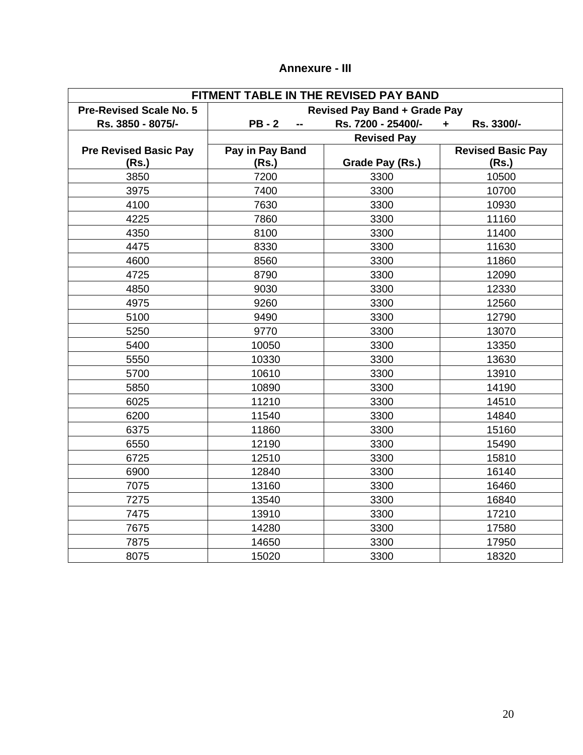| FITMENT TABLE IN THE REVISED PAY BAND |                                     |                    |                          |
|---------------------------------------|-------------------------------------|--------------------|--------------------------|
| <b>Pre-Revised Scale No. 5</b>        | <b>Revised Pay Band + Grade Pay</b> |                    |                          |
| Rs. 3850 - 8075/-                     | $PB - 2$                            | Rs. 7200 - 25400/- | Rs. 3300/-<br>٠          |
|                                       |                                     | <b>Revised Pay</b> |                          |
| <b>Pre Revised Basic Pay</b>          | Pay in Pay Band                     |                    | <b>Revised Basic Pay</b> |
| (Rs.)                                 | (Rs.)                               | Grade Pay (Rs.)    | (Rs.)                    |
| 3850                                  | 7200                                | 3300               | 10500                    |
| 3975                                  | 7400                                | 3300               | 10700                    |
| 4100                                  | 7630                                | 3300               | 10930                    |
| 4225                                  | 7860                                | 3300               | 11160                    |
| 4350                                  | 8100                                | 3300               | 11400                    |
| 4475                                  | 8330                                | 3300               | 11630                    |
| 4600                                  | 8560                                | 3300               | 11860                    |
| 4725                                  | 8790                                | 3300               | 12090                    |
| 4850                                  | 9030                                | 3300               | 12330                    |
| 4975                                  | 9260                                | 3300               | 12560                    |
| 5100                                  | 9490                                | 3300               | 12790                    |
| 5250                                  | 9770                                | 3300               | 13070                    |
| 5400                                  | 10050                               | 3300               | 13350                    |
| 5550                                  | 10330                               | 3300               | 13630                    |
| 5700                                  | 10610                               | 3300               | 13910                    |
| 5850                                  | 10890                               | 3300               | 14190                    |
| 6025                                  | 11210                               | 3300               | 14510                    |
| 6200                                  | 11540                               | 3300               | 14840                    |
| 6375                                  | 11860                               | 3300               | 15160                    |
| 6550                                  | 12190                               | 3300               | 15490                    |
| 6725                                  | 12510                               | 3300               | 15810                    |
| 6900                                  | 12840                               | 3300               | 16140                    |
| 7075                                  | 13160                               | 3300               | 16460                    |
| 7275                                  | 13540                               | 3300               | 16840                    |
| 7475                                  | 13910                               | 3300               | 17210                    |
| 7675                                  | 14280                               | 3300               | 17580                    |
| 7875                                  | 14650                               | 3300               | 17950                    |
| 8075                                  | 15020                               | 3300               | 18320                    |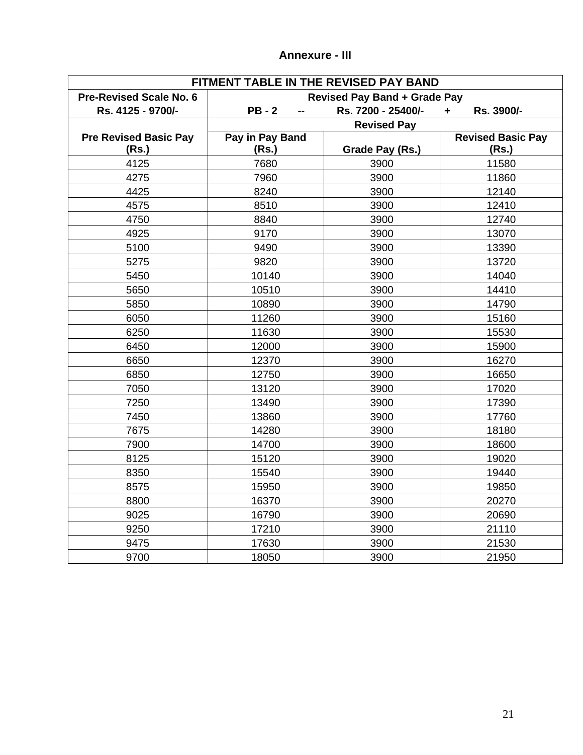| FITMENT TABLE IN THE REVISED PAY BAND |                                     |                    |                          |
|---------------------------------------|-------------------------------------|--------------------|--------------------------|
| <b>Pre-Revised Scale No. 6</b>        | <b>Revised Pay Band + Grade Pay</b> |                    |                          |
| Rs. 4125 - 9700/-                     | <b>PB-2</b>                         | Rs. 7200 - 25400/- | Rs. 3900/-<br>÷          |
|                                       | <b>Revised Pay</b>                  |                    |                          |
| <b>Pre Revised Basic Pay</b>          | Pay in Pay Band                     |                    | <b>Revised Basic Pay</b> |
| (Rs.)                                 | (Rs.)                               | Grade Pay (Rs.)    | (Rs.)                    |
| 4125                                  | 7680                                | 3900               | 11580                    |
| 4275                                  | 7960                                | 3900               | 11860                    |
| 4425                                  | 8240                                | 3900               | 12140                    |
| 4575                                  | 8510                                | 3900               | 12410                    |
| 4750                                  | 8840                                | 3900               | 12740                    |
| 4925                                  | 9170                                | 3900               | 13070                    |
| 5100                                  | 9490                                | 3900               | 13390                    |
| 5275                                  | 9820                                | 3900               | 13720                    |
| 5450                                  | 10140                               | 3900               | 14040                    |
| 5650                                  | 10510                               | 3900               | 14410                    |
| 5850                                  | 10890                               | 3900               | 14790                    |
| 6050                                  | 11260                               | 3900               | 15160                    |
| 6250                                  | 11630                               | 3900               | 15530                    |
| 6450                                  | 12000                               | 3900               | 15900                    |
| 6650                                  | 12370                               | 3900               | 16270                    |
| 6850                                  | 12750                               | 3900               | 16650                    |
| 7050                                  | 13120                               | 3900               | 17020                    |
| 7250                                  | 13490                               | 3900               | 17390                    |
| 7450                                  | 13860                               | 3900               | 17760                    |
| 7675                                  | 14280                               | 3900               | 18180                    |
| 7900                                  | 14700                               | 3900               | 18600                    |
| 8125                                  | 15120                               | 3900               | 19020                    |
| 8350                                  | 15540                               | 3900               | 19440                    |
| 8575                                  | 15950                               | 3900               | 19850                    |
| 8800                                  | 16370                               | 3900               | 20270                    |
| 9025                                  | 16790                               | 3900               | 20690                    |
| 9250                                  | 17210                               | 3900               | 21110                    |
| 9475                                  | 17630                               | 3900               | 21530                    |
| 9700                                  | 18050                               | 3900               | 21950                    |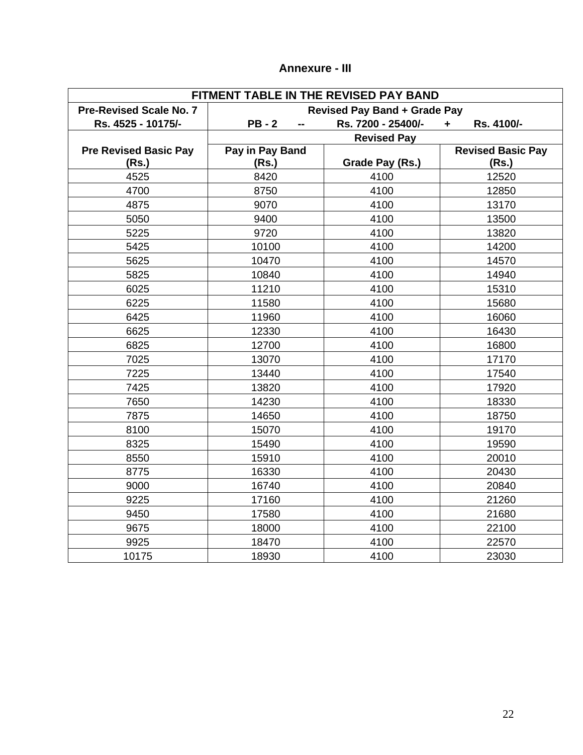| <b>Annexure - III</b> |  |
|-----------------------|--|
|-----------------------|--|

| FITMENT TABLE IN THE REVISED PAY BAND |                                     |                    |                          |  |
|---------------------------------------|-------------------------------------|--------------------|--------------------------|--|
| <b>Pre-Revised Scale No. 7</b>        | <b>Revised Pay Band + Grade Pay</b> |                    |                          |  |
| Rs. 4525 - 10175/-                    | $PB - 2$                            | Rs. 7200 - 25400/- | Rs. 4100/-               |  |
|                                       |                                     | <b>Revised Pay</b> |                          |  |
| <b>Pre Revised Basic Pay</b>          | Pay in Pay Band                     |                    | <b>Revised Basic Pay</b> |  |
| (Rs.)                                 | (Rs.)                               | Grade Pay (Rs.)    | (Rs.)                    |  |
| 4525                                  | 8420                                | 4100               | 12520                    |  |
| 4700                                  | 8750                                | 4100               | 12850                    |  |
| 4875                                  | 9070                                | 4100               | 13170                    |  |
| 5050                                  | 9400                                | 4100               | 13500                    |  |
| 5225                                  | 9720                                | 4100               | 13820                    |  |
| 5425                                  | 10100                               | 4100               | 14200                    |  |
| 5625                                  | 10470                               | 4100               | 14570                    |  |
| 5825                                  | 10840                               | 4100               | 14940                    |  |
| 6025                                  | 11210                               | 4100               | 15310                    |  |
| 6225                                  | 11580                               | 4100               | 15680                    |  |
| 6425                                  | 11960                               | 4100               | 16060                    |  |
| 6625                                  | 12330                               | 4100               | 16430                    |  |
| 6825                                  | 12700                               | 4100               | 16800                    |  |
| 7025                                  | 13070                               | 4100               | 17170                    |  |
| 7225                                  | 13440                               | 4100               | 17540                    |  |
| 7425                                  | 13820                               | 4100               | 17920                    |  |
| 7650                                  | 14230                               | 4100               | 18330                    |  |
| 7875                                  | 14650                               | 4100               | 18750                    |  |
| 8100                                  | 15070                               | 4100               | 19170                    |  |
| 8325                                  | 15490                               | 4100               | 19590                    |  |
| 8550                                  | 15910                               | 4100               | 20010                    |  |
| 8775                                  | 16330                               | 4100               | 20430                    |  |
| 9000                                  | 16740                               | 4100               | 20840                    |  |
| 9225                                  | 17160                               | 4100               | 21260                    |  |
| 9450                                  | 17580                               | 4100               | 21680                    |  |
| 9675                                  | 18000                               | 4100               | 22100                    |  |
| 9925                                  | 18470                               | 4100               | 22570                    |  |
| 10175                                 | 18930                               | 4100               | 23030                    |  |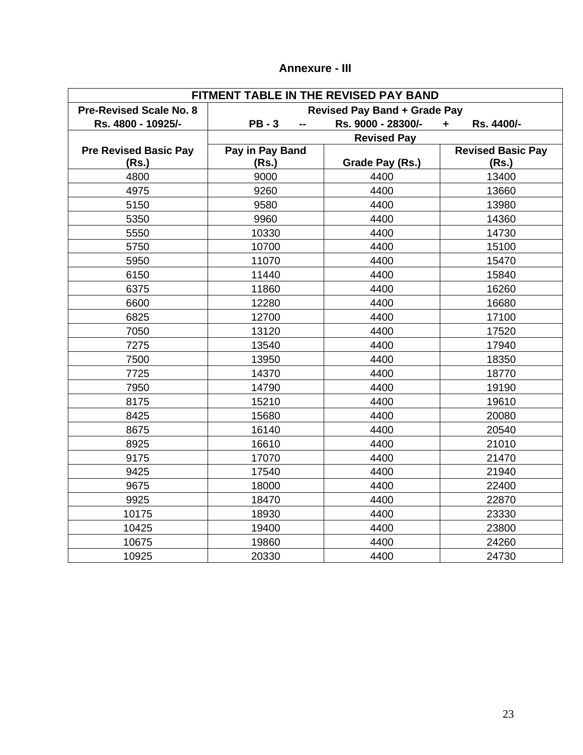| <b>Annexure - III</b> |  |
|-----------------------|--|
|-----------------------|--|

| FITMENT TABLE IN THE REVISED PAY BAND |                                     |                    |                          |
|---------------------------------------|-------------------------------------|--------------------|--------------------------|
| <b>Pre-Revised Scale No. 8</b>        | <b>Revised Pay Band + Grade Pay</b> |                    |                          |
| Rs. 4800 - 10925/-                    | $PB - 3$                            | Rs. 9000 - 28300/- | Rs. 4400/-               |
|                                       |                                     | <b>Revised Pay</b> |                          |
| <b>Pre Revised Basic Pay</b>          | Pay in Pay Band                     |                    | <b>Revised Basic Pay</b> |
| (Rs.)                                 | (Rs.)                               | Grade Pay (Rs.)    | (Rs.)                    |
| 4800                                  | 9000                                | 4400               | 13400                    |
| 4975                                  | 9260                                | 4400               | 13660                    |
| 5150                                  | 9580                                | 4400               | 13980                    |
| 5350                                  | 9960                                | 4400               | 14360                    |
| 5550                                  | 10330                               | 4400               | 14730                    |
| 5750                                  | 10700                               | 4400               | 15100                    |
| 5950                                  | 11070                               | 4400               | 15470                    |
| 6150                                  | 11440                               | 4400               | 15840                    |
| 6375                                  | 11860                               | 4400               | 16260                    |
| 6600                                  | 12280                               | 4400               | 16680                    |
| 6825                                  | 12700                               | 4400               | 17100                    |
| 7050                                  | 13120                               | 4400               | 17520                    |
| 7275                                  | 13540                               | 4400               | 17940                    |
| 7500                                  | 13950                               | 4400               | 18350                    |
| 7725                                  | 14370                               | 4400               | 18770                    |
| 7950                                  | 14790                               | 4400               | 19190                    |
| 8175                                  | 15210                               | 4400               | 19610                    |
| 8425                                  | 15680                               | 4400               | 20080                    |
| 8675                                  | 16140                               | 4400               | 20540                    |
| 8925                                  | 16610                               | 4400               | 21010                    |
| 9175                                  | 17070                               | 4400               | 21470                    |
| 9425                                  | 17540                               | 4400               | 21940                    |
| 9675                                  | 18000                               | 4400               | 22400                    |
| 9925                                  | 18470                               | 4400               | 22870                    |
| 10175                                 | 18930                               | 4400               | 23330                    |
| 10425                                 | 19400                               | 4400               | 23800                    |
| 10675                                 | 19860                               | 4400               | 24260                    |
| 10925                                 | 20330                               | 4400               | 24730                    |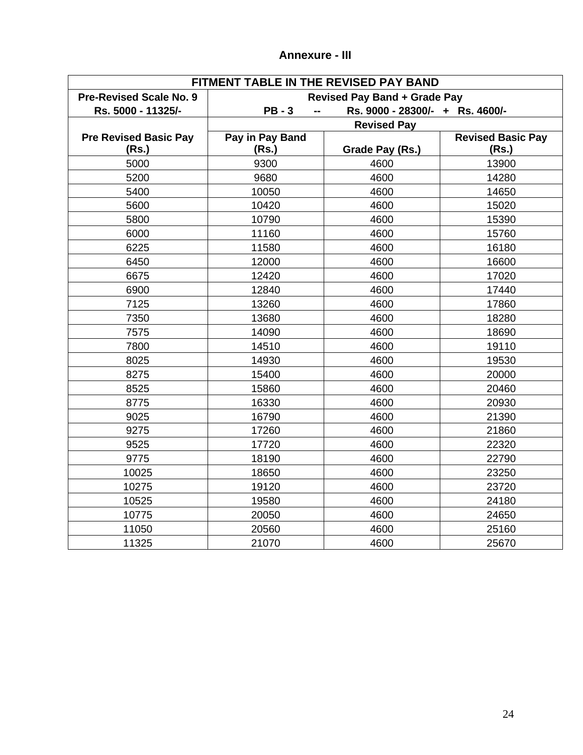| FITMENT TABLE IN THE REVISED PAY BAND |                                     |                                 |                          |
|---------------------------------------|-------------------------------------|---------------------------------|--------------------------|
| <b>Pre-Revised Scale No. 9</b>        | <b>Revised Pay Band + Grade Pay</b> |                                 |                          |
| Rs. 5000 - 11325/-                    | $PB - 3$                            | Rs. 9000 - 28300/- + Rs. 4600/- |                          |
|                                       |                                     | <b>Revised Pay</b>              |                          |
| <b>Pre Revised Basic Pay</b>          | Pay in Pay Band                     |                                 | <b>Revised Basic Pay</b> |
| (Rs.)                                 | (Rs.)                               | Grade Pay (Rs.)                 | (Rs.)                    |
| 5000                                  | 9300                                | 4600                            | 13900                    |
| 5200                                  | 9680                                | 4600                            | 14280                    |
| 5400                                  | 10050                               | 4600                            | 14650                    |
| 5600                                  | 10420                               | 4600                            | 15020                    |
| 5800                                  | 10790                               | 4600                            | 15390                    |
| 6000                                  | 11160                               | 4600                            | 15760                    |
| 6225                                  | 11580                               | 4600                            | 16180                    |
| 6450                                  | 12000                               | 4600                            | 16600                    |
| 6675                                  | 12420                               | 4600                            | 17020                    |
| 6900                                  | 12840                               | 4600                            | 17440                    |
| 7125                                  | 13260                               | 4600                            | 17860                    |
| 7350                                  | 13680                               | 4600                            | 18280                    |
| 7575                                  | 14090                               | 4600                            | 18690                    |
| 7800                                  | 14510                               | 4600                            | 19110                    |
| 8025                                  | 14930                               | 4600                            | 19530                    |
| 8275                                  | 15400                               | 4600                            | 20000                    |
| 8525                                  | 15860                               | 4600                            | 20460                    |
| 8775                                  | 16330                               | 4600                            | 20930                    |
| 9025                                  | 16790                               | 4600                            | 21390                    |
| 9275                                  | 17260                               | 4600                            | 21860                    |
| 9525                                  | 17720                               | 4600                            | 22320                    |
| 9775                                  | 18190                               | 4600                            | 22790                    |
| 10025                                 | 18650                               | 4600                            | 23250                    |
| 10275                                 | 19120                               | 4600                            | 23720                    |
| 10525                                 | 19580                               | 4600                            | 24180                    |
| 10775                                 | 20050                               | 4600                            | 24650                    |
| 11050                                 | 20560                               | 4600                            | 25160                    |
| 11325                                 | 21070                               | 4600                            | 25670                    |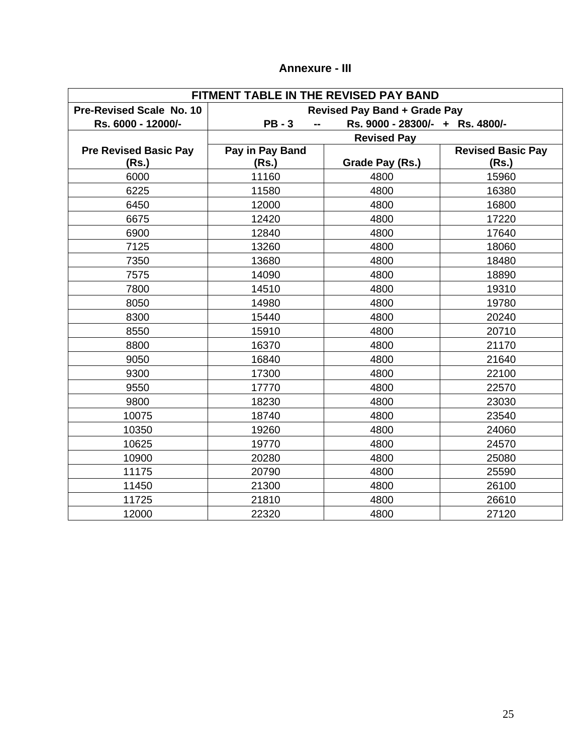| FITMENT TABLE IN THE REVISED PAY BAND |                                     |                                 |                          |
|---------------------------------------|-------------------------------------|---------------------------------|--------------------------|
| Pre-Revised Scale No. 10              | <b>Revised Pay Band + Grade Pay</b> |                                 |                          |
| Rs. 6000 - 12000/-                    | $PB - 3$                            | Rs. 9000 - 28300/- + Rs. 4800/- |                          |
|                                       |                                     | <b>Revised Pay</b>              |                          |
| <b>Pre Revised Basic Pay</b>          | Pay in Pay Band                     |                                 | <b>Revised Basic Pay</b> |
| (Rs.)                                 | (Rs.)                               | Grade Pay (Rs.)                 | (Rs.)                    |
| 6000                                  | 11160                               | 4800                            | 15960                    |
| 6225                                  | 11580                               | 4800                            | 16380                    |
| 6450                                  | 12000                               | 4800                            | 16800                    |
| 6675                                  | 12420                               | 4800                            | 17220                    |
| 6900                                  | 12840                               | 4800                            | 17640                    |
| 7125                                  | 13260                               | 4800                            | 18060                    |
| 7350                                  | 13680                               | 4800                            | 18480                    |
| 7575                                  | 14090                               | 4800                            | 18890                    |
| 7800                                  | 14510                               | 4800                            | 19310                    |
| 8050                                  | 14980                               | 4800                            | 19780                    |
| 8300                                  | 15440                               | 4800                            | 20240                    |
| 8550                                  | 15910                               | 4800                            | 20710                    |
| 8800                                  | 16370                               | 4800                            | 21170                    |
| 9050                                  | 16840                               | 4800                            | 21640                    |
| 9300                                  | 17300                               | 4800                            | 22100                    |
| 9550                                  | 17770                               | 4800                            | 22570                    |
| 9800                                  | 18230                               | 4800                            | 23030                    |
| 10075                                 | 18740                               | 4800                            | 23540                    |
| 10350                                 | 19260                               | 4800                            | 24060                    |
| 10625                                 | 19770                               | 4800                            | 24570                    |
| 10900                                 | 20280                               | 4800                            | 25080                    |
| 11175                                 | 20790                               | 4800                            | 25590                    |
| 11450                                 | 21300                               | 4800                            | 26100                    |
| 11725                                 | 21810                               | 4800                            | 26610                    |
| 12000                                 | 22320                               | 4800                            | 27120                    |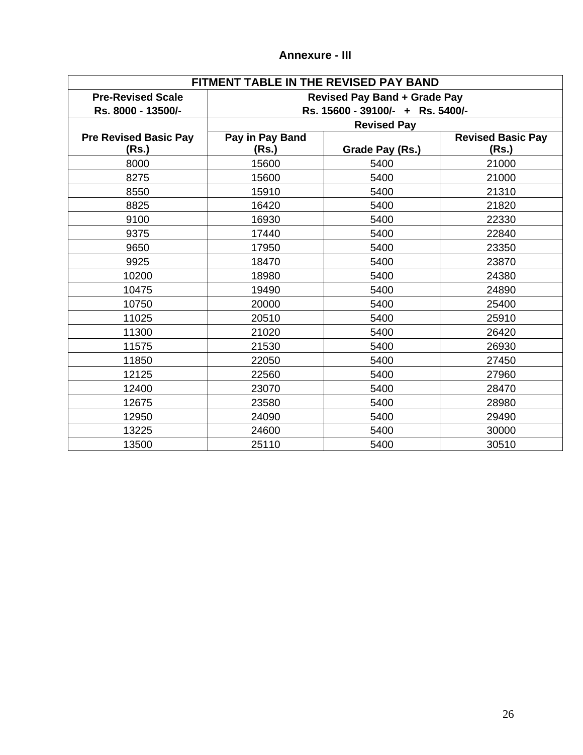| FITMENT TABLE IN THE REVISED PAY BAND |                                     |                    |                          |  |
|---------------------------------------|-------------------------------------|--------------------|--------------------------|--|
| <b>Pre-Revised Scale</b>              | <b>Revised Pay Band + Grade Pay</b> |                    |                          |  |
| Rs. 8000 - 13500/-                    | Rs. 15600 - 39100/- + Rs. 5400/-    |                    |                          |  |
|                                       |                                     | <b>Revised Pay</b> |                          |  |
| <b>Pre Revised Basic Pay</b>          | Pay in Pay Band                     |                    | <b>Revised Basic Pay</b> |  |
| (Rs.)                                 | (Rs.)                               | Grade Pay (Rs.)    | (Rs.)                    |  |
| 8000                                  | 15600                               | 5400               | 21000                    |  |
| 8275                                  | 15600                               | 5400               | 21000                    |  |
| 8550                                  | 15910                               | 5400               | 21310                    |  |
| 8825                                  | 16420                               | 5400               | 21820                    |  |
| 9100                                  | 16930                               | 5400               | 22330                    |  |
| 9375                                  | 17440                               | 5400               | 22840                    |  |
| 9650                                  | 17950                               | 5400               | 23350                    |  |
| 9925                                  | 18470                               | 5400               | 23870                    |  |
| 10200                                 | 18980                               | 5400               | 24380                    |  |
| 10475                                 | 19490                               | 5400               | 24890                    |  |
| 10750                                 | 20000                               | 5400               | 25400                    |  |
| 11025                                 | 20510                               | 5400               | 25910                    |  |
| 11300                                 | 21020                               | 5400               | 26420                    |  |
| 11575                                 | 21530                               | 5400               | 26930                    |  |
| 11850                                 | 22050                               | 5400               | 27450                    |  |
| 12125                                 | 22560                               | 5400               | 27960                    |  |
| 12400                                 | 23070                               | 5400               | 28470                    |  |
| 12675                                 | 23580                               | 5400               | 28980                    |  |
| 12950                                 | 24090                               | 5400               | 29490                    |  |
| 13225                                 | 24600                               | 5400               | 30000                    |  |
| 13500                                 | 25110                               | 5400               | 30510                    |  |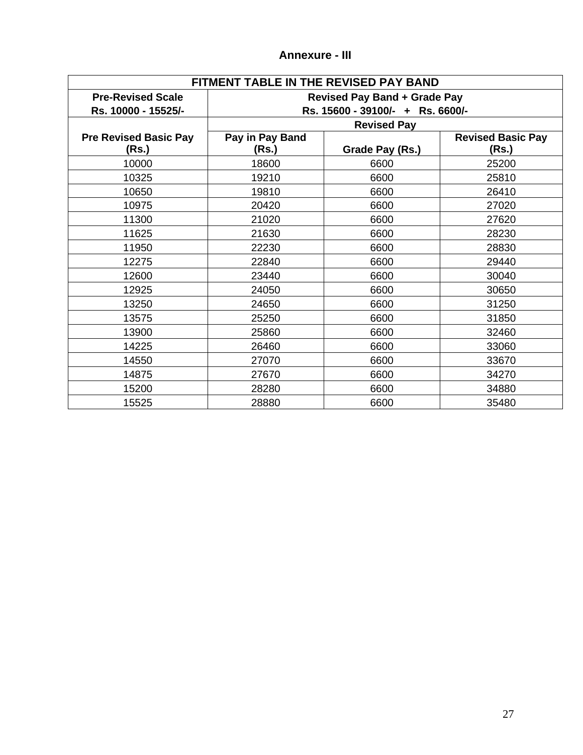| FITMENT TABLE IN THE REVISED PAY BAND |                                     |                                  |                          |  |  |
|---------------------------------------|-------------------------------------|----------------------------------|--------------------------|--|--|
| <b>Pre-Revised Scale</b>              | <b>Revised Pay Band + Grade Pay</b> |                                  |                          |  |  |
| Rs. 10000 - 15525/-                   |                                     | Rs. 15600 - 39100/- + Rs. 6600/- |                          |  |  |
|                                       | <b>Revised Pay</b>                  |                                  |                          |  |  |
| <b>Pre Revised Basic Pay</b>          | Pay in Pay Band                     |                                  | <b>Revised Basic Pay</b> |  |  |
| (Rs.)                                 | (Rs.)                               | Grade Pay (Rs.)                  | (Rs.)                    |  |  |
| 10000                                 | 18600                               | 6600                             | 25200                    |  |  |
| 10325                                 | 19210                               | 6600                             | 25810                    |  |  |
| 10650                                 | 19810                               | 6600                             | 26410                    |  |  |
| 10975                                 | 20420                               | 6600                             | 27020                    |  |  |
| 11300                                 | 21020                               | 6600                             | 27620                    |  |  |
| 11625                                 | 21630                               | 6600                             | 28230                    |  |  |
| 11950                                 | 22230                               | 6600                             | 28830                    |  |  |
| 12275                                 | 22840                               | 6600                             | 29440                    |  |  |
| 12600                                 | 23440                               | 6600                             | 30040                    |  |  |
| 12925                                 | 24050                               | 6600                             | 30650                    |  |  |
| 13250                                 | 24650                               | 6600                             | 31250                    |  |  |
| 13575                                 | 25250                               | 6600                             | 31850                    |  |  |
| 13900                                 | 25860                               | 6600                             | 32460                    |  |  |
| 14225                                 | 26460                               | 6600                             | 33060                    |  |  |
| 14550                                 | 27070                               | 6600                             | 33670                    |  |  |
| 14875                                 | 27670                               | 6600                             | 34270                    |  |  |
| 15200                                 | 28280                               | 6600                             | 34880                    |  |  |
| 15525                                 | 28880                               | 6600                             | 35480                    |  |  |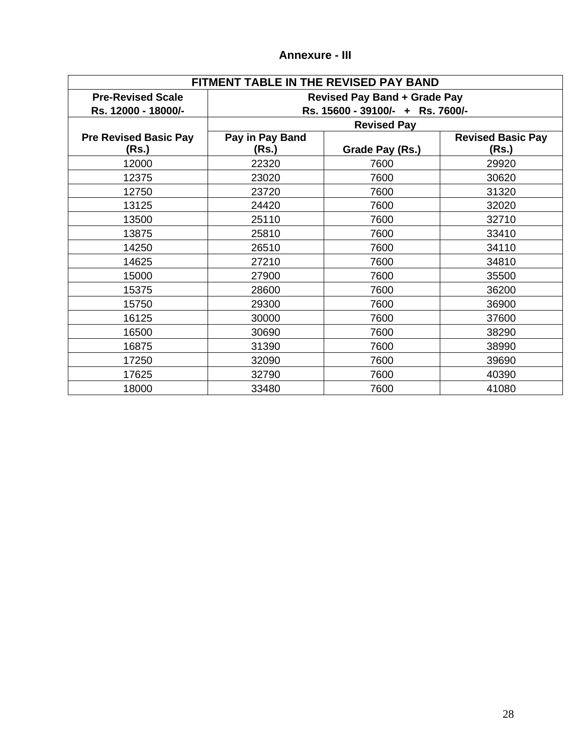| FITMENT TABLE IN THE REVISED PAY BAND |                                     |                                  |                          |  |
|---------------------------------------|-------------------------------------|----------------------------------|--------------------------|--|
| <b>Pre-Revised Scale</b>              | <b>Revised Pay Band + Grade Pay</b> |                                  |                          |  |
| Rs. 12000 - 18000/-                   |                                     | Rs. 15600 - 39100/- + Rs. 7600/- |                          |  |
|                                       |                                     | <b>Revised Pay</b>               |                          |  |
| <b>Pre Revised Basic Pay</b>          | Pay in Pay Band                     |                                  | <b>Revised Basic Pay</b> |  |
| (Rs.)                                 | (Rs.)                               | Grade Pay (Rs.)                  | (Rs.)                    |  |
| 12000                                 | 22320                               | 7600                             | 29920                    |  |
| 12375                                 | 23020                               | 7600                             | 30620                    |  |
| 12750                                 | 23720                               | 7600                             | 31320                    |  |
| 13125                                 | 24420                               | 7600                             | 32020                    |  |
| 13500                                 | 25110                               | 7600                             | 32710                    |  |
| 13875                                 | 25810                               | 7600                             | 33410                    |  |
| 14250                                 | 26510                               | 7600                             | 34110                    |  |
| 14625                                 | 27210                               | 7600                             | 34810                    |  |
| 15000                                 | 27900                               | 7600                             | 35500                    |  |
| 15375                                 | 28600                               | 7600                             | 36200                    |  |
| 15750                                 | 29300                               | 7600                             | 36900                    |  |
| 16125                                 | 30000                               | 7600                             | 37600                    |  |
| 16500                                 | 30690                               | 7600                             | 38290                    |  |
| 16875                                 | 31390                               | 7600                             | 38990                    |  |
| 17250                                 | 32090                               | 7600                             | 39690                    |  |
| 17625                                 | 32790                               | 7600                             | 40390                    |  |
| 18000                                 | 33480                               | 7600                             | 41080                    |  |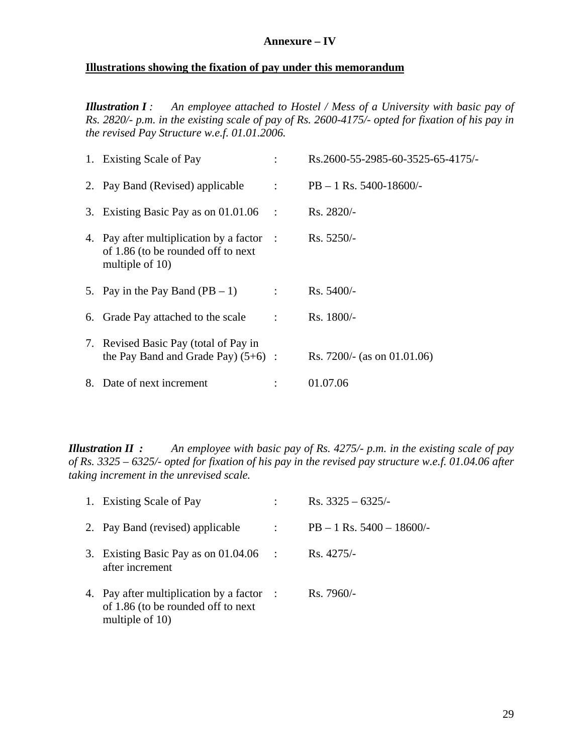### **Annexure – IV**

## **Illustrations showing the fixation of pay under this memorandum**

*Illustration I : An employee attached to Hostel / Mess of a University with basic pay of Rs. 2820/- p.m. in the existing scale of pay of Rs. 2600-4175/- opted for fixation of his pay in the revised Pay Structure w.e.f. 01.01.2006.*

|  | 1. Existing Scale of Pay                                                                           |                | Rs.2600-55-2985-60-3525-65-4175/- |
|--|----------------------------------------------------------------------------------------------------|----------------|-----------------------------------|
|  | 2. Pay Band (Revised) applicable                                                                   | $\mathcal{L}$  | $PB - 1$ Rs. 5400-18600/-         |
|  | 3. Existing Basic Pay as on 01.01.06                                                               | $\sim$ :       | $Rs. 2820/-$                      |
|  | 4. Pay after multiplication by a factor :<br>of 1.86 (to be rounded off to next<br>multiple of 10) |                | $Rs. 5250/-$                      |
|  | 5. Pay in the Pay Band $(PB - 1)$                                                                  | $\mathbb{R}^2$ | $Rs. 5400/-$                      |
|  | 6. Grade Pay attached to the scale                                                                 | $\cdot$ .      | $Rs. 1800/-$                      |
|  | 7. Revised Basic Pay (total of Pay in<br>the Pay Band and Grade Pay $(5+6)$ :                      |                | Rs. 7200/- (as on 01.01.06)       |
|  | 8. Date of next increment                                                                          |                | 01.07.06                          |

*Illustration II : An employee with basic pay of Rs. 4275/- p.m. in the existing scale of pay of Rs. 3325 – 6325/- opted for fixation of his pay in the revised pay structure w.e.f. 01.04.06 after taking increment in the unrevised scale.*

|  | 1. Existing Scale of Pay                                                                           |           | Rs. $3325 - 6325/$           |
|--|----------------------------------------------------------------------------------------------------|-----------|------------------------------|
|  | 2. Pay Band (revised) applicable                                                                   |           | $PB - 1$ Rs. $5400 - 18600/$ |
|  | 3. Existing Basic Pay as on 01.04.06<br>after increment                                            | $\sim 10$ | $Rs.4275/-$                  |
|  | 4. Pay after multiplication by a factor :<br>of 1.86 (to be rounded off to next<br>multiple of 10) |           | $Rs.7960/-$                  |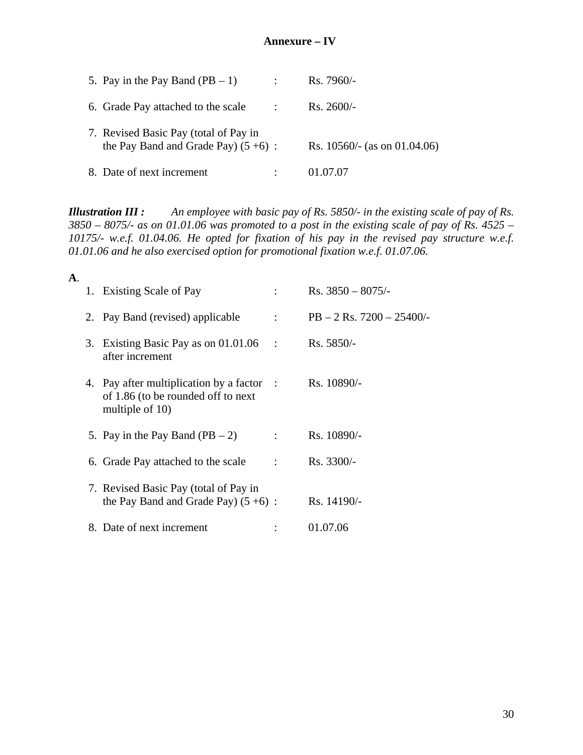## **Annexure – IV**

| 5. Pay in the Pay Band $(PB - 1)$                                              |                     | $Rs.7960/-$                   |
|--------------------------------------------------------------------------------|---------------------|-------------------------------|
| 6. Grade Pay attached to the scale                                             | $\sim$ 1.000 $\sim$ | $Rs. 2600/-$                  |
| 7. Revised Basic Pay (total of Pay in<br>the Pay Band and Grade Pay) $(5+6)$ : |                     | Rs. $10560/-(as on 01.04.06)$ |
| 8. Date of next increment                                                      |                     | 01.07.07                      |

*Illustration III : An employee with basic pay of Rs. 5850/- in the existing scale of pay of Rs. 3850 – 8075/- as on 01.01.06 was promoted to a post in the existing scale of pay of Rs. 4525 – 10175/- w.e.f. 01.04.06. He opted for fixation of his pay in the revised pay structure w.e.f. 01.01.06 and he also exercised option for promotional fixation w.e.f. 01.07.06.*

| А. |                                                                                                    |                |                              |
|----|----------------------------------------------------------------------------------------------------|----------------|------------------------------|
|    | 1. Existing Scale of Pay                                                                           |                | Rs. $3850 - 8075/$           |
|    | 2. Pay Band (revised) applicable                                                                   | $\mathcal{L}$  | $PB - 2$ Rs. $7200 - 25400/$ |
|    | 3. Existing Basic Pay as on $01.01.06$<br>$\sim$ 1<br>after increment                              |                | $Rs. 5850/-$                 |
|    | 4. Pay after multiplication by a factor :<br>of 1.86 (to be rounded off to next<br>multiple of 10) |                | Rs. 10890/-                  |
|    | 5. Pay in the Pay Band $(PB - 2)$                                                                  | $\mathcal{L}$  | Rs. 10890/-                  |
|    | 6. Grade Pay attached to the scale                                                                 | $\ddot{\cdot}$ | Rs. 3300/-                   |
|    | 7. Revised Basic Pay (total of Pay in<br>the Pay Band and Grade Pay) $(5 + 6)$ :                   |                | Rs. 14190/-                  |
|    | 8. Date of next increment                                                                          |                | 01.07.06                     |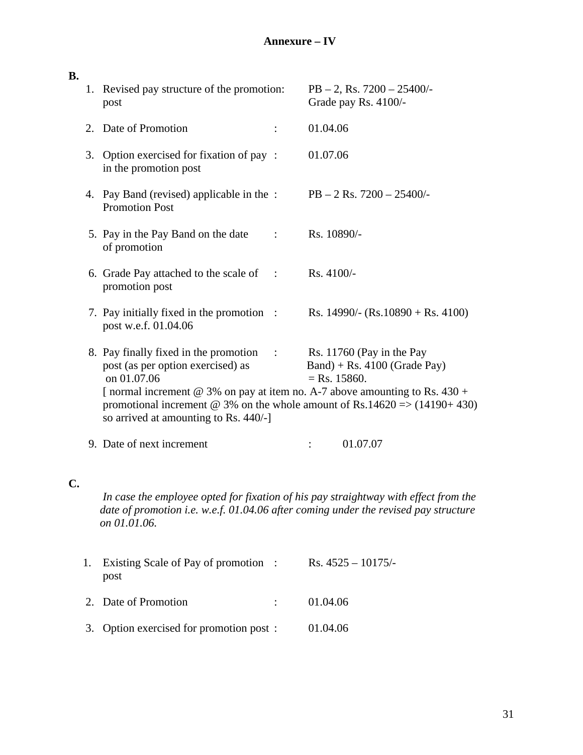# **Annexure – IV**

| <b>B.</b>      |    |                                                                                                                                                                                            |                        |                                                                                                                                                               |  |
|----------------|----|--------------------------------------------------------------------------------------------------------------------------------------------------------------------------------------------|------------------------|---------------------------------------------------------------------------------------------------------------------------------------------------------------|--|
|                |    | 1. Revised pay structure of the promotion:<br>post                                                                                                                                         |                        | $PB - 2$ , Rs. $7200 - 25400/$<br>Grade pay Rs. 4100/-                                                                                                        |  |
|                |    | 2. Date of Promotion                                                                                                                                                                       |                        | 01.04.06                                                                                                                                                      |  |
|                |    | 3. Option exercised for fixation of pay :<br>in the promotion post                                                                                                                         |                        | 01.07.06                                                                                                                                                      |  |
|                |    | 4. Pay Band (revised) applicable in the :<br><b>Promotion Post</b>                                                                                                                         |                        | $PB - 2$ Rs. $7200 - 25400/$                                                                                                                                  |  |
|                |    | 5. Pay in the Pay Band on the date<br>of promotion                                                                                                                                         |                        | Rs. 10890/-                                                                                                                                                   |  |
|                |    | 6. Grade Pay attached to the scale of<br>$\sim$ 1.<br>promotion post                                                                                                                       |                        | Rs. 4100/-                                                                                                                                                    |  |
|                |    | 7. Pay initially fixed in the promotion :<br>post w.e.f. 01.04.06                                                                                                                          |                        | Rs. 14990/- (Rs. 10890 + Rs. 4100)                                                                                                                            |  |
|                |    | 8. Pay finally fixed in the promotion<br>$\sim$ 1.<br>post (as per option exercised) as<br>on 01.07.06<br>[normal increment @ 3% on pay at item no. A-7 above amounting to Rs. $430 +$     |                        | Rs. 11760 (Pay in the Pay<br>$Band$ ) + Rs. 4100 (Grade Pay)<br>$=$ Rs. 15860.<br>promotional increment @ 3% on the whole amount of Rs.14620 => $(14190+430)$ |  |
|                |    | so arrived at amounting to Rs. 440/-]                                                                                                                                                      |                        |                                                                                                                                                               |  |
|                |    | 9. Date of next increment                                                                                                                                                                  |                        | 01.07.07                                                                                                                                                      |  |
| $\mathbf{C}$ . |    | In case the employee opted for fixation of his pay straightway with effect from the<br>date of promotion i.e. w.e.f. 01.04.06 after coming under the revised pay structure<br>on 01.01.06. |                        |                                                                                                                                                               |  |
|                | 1. | Existing Scale of Pay of promotion<br>post                                                                                                                                                 | $\ddot{\phantom{1}}$ : | Rs. $4525 - 10175/$                                                                                                                                           |  |

2. Date of Promotion : 01.04.06

3. Option exercised for promotion post : 01.04.06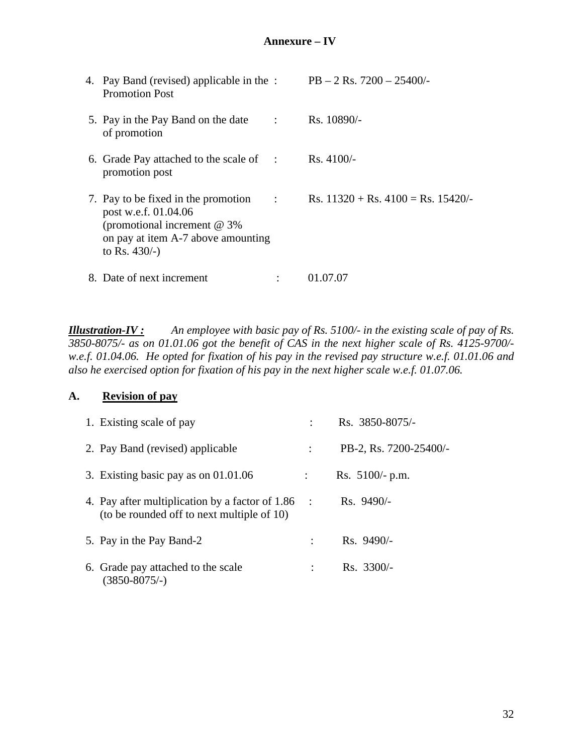|  | 4. Pay Band (revised) applicable in the :<br><b>Promotion Post</b>                                                                                     |                      | $PB - 2$ Rs. $7200 - 25400/$                          |
|--|--------------------------------------------------------------------------------------------------------------------------------------------------------|----------------------|-------------------------------------------------------|
|  | 5. Pay in the Pay Band on the date<br>of promotion                                                                                                     | $\ddot{\phantom{0}}$ | Rs. 10890/-                                           |
|  | 6. Grade Pay attached to the scale of<br>$\sim$ :<br>promotion post                                                                                    |                      | $Rs.4100/-$                                           |
|  | 7. Pay to be fixed in the promotion<br>post w.e.f. 01.04.06<br>(promotional increment $@$ 3%<br>on pay at item A-7 above amounting<br>to Rs. $430/-$ ) |                      | Rs. $11320 + \text{Rs. } 4100 = \text{Rs. } 15420$ /- |
|  | 8. Date of next increment                                                                                                                              |                      | 01.07.07                                              |

*Illustration-IV : An employee with basic pay of Rs. 5100/- in the existing scale of pay of Rs. 3850-8075/- as on 01.01.06 got the benefit of CAS in the next higher scale of Rs. 4125-9700/ w.e.f. 01.04.06. He opted for fixation of his pay in the revised pay structure w.e.f. 01.01.06 and also he exercised option for fixation of his pay in the next higher scale w.e.f. 01.07.06.*

## **A. Revision of pay**

| 1. Existing scale of pay                                                                      |           | Rs. 3850-8075/-        |
|-----------------------------------------------------------------------------------------------|-----------|------------------------|
| 2. Pay Band (revised) applicable                                                              | ÷         | PB-2, Rs. 7200-25400/- |
| 3. Existing basic pay as on $01.01.06$                                                        |           | Rs. $5100/-$ p.m.      |
| 4. Pay after multiplication by a factor of 1.86<br>(to be rounded off to next multiple of 10) | $\sim$ 1. | $Rs.9490/-$            |
| 5. Pay in the Pay Band-2                                                                      |           | $Rs.9490/-$            |
| 6. Grade pay attached to the scale<br>(3850-8075/-)                                           |           | $Rs. 3300/-$           |